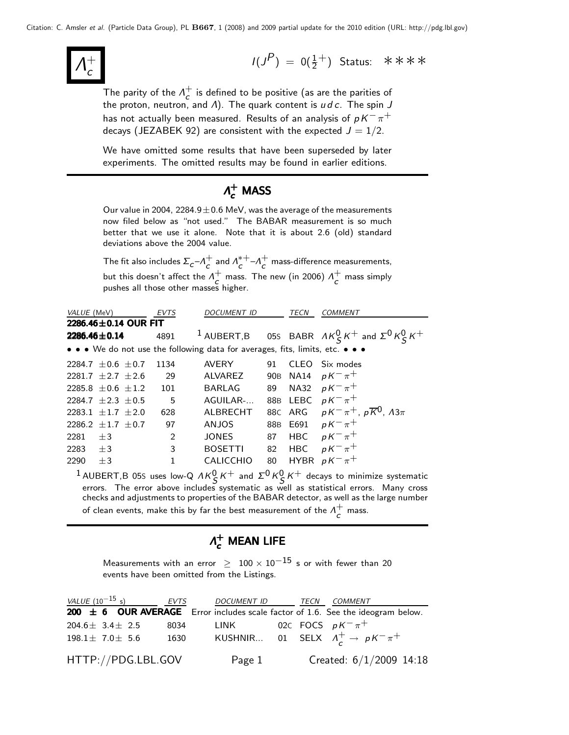Λ  $+$ c

 $I(J^P) = 0(\frac{1}{2}^+)$  Status: \*\*\*\*

The parity of the  $\Lambda_c^+$  $\overline{c}$  is defined to be positive (as are the parities of the proton, neutron, and Λ). The quark content is  $u\,d\,c$ . The spin  $J$ has not actually been measured. Results of an analysis of  $p\,K^-\pi^+$ decays (JEZABEK 92) are consistent with the expected  $J = 1/2$ .

We have omitted some results that have been superseded by later experiments. The omitted results may be found in earlier editions.

## $\Lambda_c^+$  MASS

Our value in 2004,  $2284.9 \pm 0.6$  MeV, was the average of the measurements now filed below as "not used." The BABAR measurement is so much better that we use it alone. Note that it is about 2.6 (old) standard deviations above the 2004 value.

The fit also includes  $\Sigma_c$ – $\Lambda_c^+$  $\frac{1}{c}$  and  $\Lambda_c^{*+}$  $_{c}^{*+}-A_{c}^{+}$  $\tau_c^+$  mass-difference measurements, but this doesn't affect the  $\Lambda^+_\epsilon$  $\sigma$  mass. The new (in 2006)  $\Lambda_c^+$  $\overline{c}$  mass simply pushes all those other masses higher.

| VALUE (MeV)                |         | <b>EVTS</b>     | <b>DOCUMENT ID</b>                                                            |    | TECN       | <b>COMMENT</b>                                                       |
|----------------------------|---------|-----------------|-------------------------------------------------------------------------------|----|------------|----------------------------------------------------------------------|
| 2286.46±0.14 OUR FIT       |         |                 |                                                                               |    |            |                                                                      |
| $2286.46 \pm 0.14$         |         | 4891            |                                                                               |    |            | <sup>1</sup> AUBERT,B 05S BABR $AK_S^0 K^+$ and $\Sigma^0 K_S^0 K^+$ |
|                            |         |                 | • • • We do not use the following data for averages, fits, limits, etc. • • • |    |            |                                                                      |
| 2284.7 $\pm$ 0.6 $\pm$ 0.7 |         | 1134            | AVERY                                                                         | 91 |            | CLEO Six modes                                                       |
| 2281.7 $\pm 2.7$ $\pm 2.6$ |         | 29              | ALVAREZ                                                                       |    |            | 90B NA14 $pK^{-}\pi^{+}$                                             |
| 2285.8 $\pm$ 0.6 $\pm$ 1.2 |         | 101             | <b>BARLAG</b>                                                                 | 89 |            | NA32 $pK^{-}\pi^{+}$                                                 |
| 2284.7 $\pm 2.3 \pm 0.5$   |         | $5\overline{)}$ | AGUILAR-                                                                      |    |            | 88B LEBC $pK^{-}\pi^{+}$                                             |
| 2283.1 $\pm$ 1.7 $\pm$ 2.0 |         | 628             | ALBRECHT                                                                      |    |            | 88C ARG $pK^{-}\pi^{+}$ , $p\overline{K}^{0}$ , $\Lambda 3\pi$       |
| $2286.2 + 1.7 + 0.7$       |         | 97              | ANJOS                                                                         |    |            | 88B E691 $pK^{-}\pi^{+}$                                             |
| 2281                       | $+3$    | 2               | JONES                                                                         | 87 | <b>HBC</b> | $pK^{-}\pi^{+}$                                                      |
| 2283                       | $+3$    | 3               | <b>BOSETTI</b>                                                                |    | 82 HBC     | $pK^{-}\pi^{+}$                                                      |
| 2290                       | $\pm$ 3 | 1               | <b>CALICCHIO</b>                                                              | 80 |            | HYBR $pK^{-}\pi^{+}$                                                 |
|                            |         |                 |                                                                               |    |            |                                                                      |

<sup>1</sup> AUBERT,B 05S uses low-Q  $\Lambda K_S^0 K^+$  and  $\Sigma^0 K_S^0 K^+$  decays to minimize systematic errors. The error above includes systematic as well as statistical errors. Many cross checks and adjustments to properties of the BABAR detector, as well as the large number of clean events, make this by far the best measurement of the  $\Lambda^+_\mathsf{c}$  $\overline{c}$  mass.

## $\Lambda_c^+$  Mean Life

Measurements with an error  $\geq 100 \times 10^{-15}$  s or with fewer than 20 events have been omitted from the Listings.

| VALUE $(10^{-15}$ s)    |  | EVTS               | DOCUMENT ID TECN              |  | COMMENT                                                                             |
|-------------------------|--|--------------------|-------------------------------|--|-------------------------------------------------------------------------------------|
|                         |  |                    |                               |  | 200 $\pm$ 6 OUR AVERAGE Error includes scale factor of 1.6. See the ideogram below. |
| $204.6 \pm 3.4 \pm 2.5$ |  | 8034               | LINK 02C FOCS $pK^{-}\pi^{+}$ |  |                                                                                     |
| $198.1 \pm 7.0 \pm 5.6$ |  | 1630               |                               |  | KUSHNIR 01 SELX $\Lambda_c^+ \to pK^-\pi^+$                                         |
|                         |  | HTTP://PDG.LBL.GOV | Page 1                        |  | Created: $6/1/2009$ 14:18                                                           |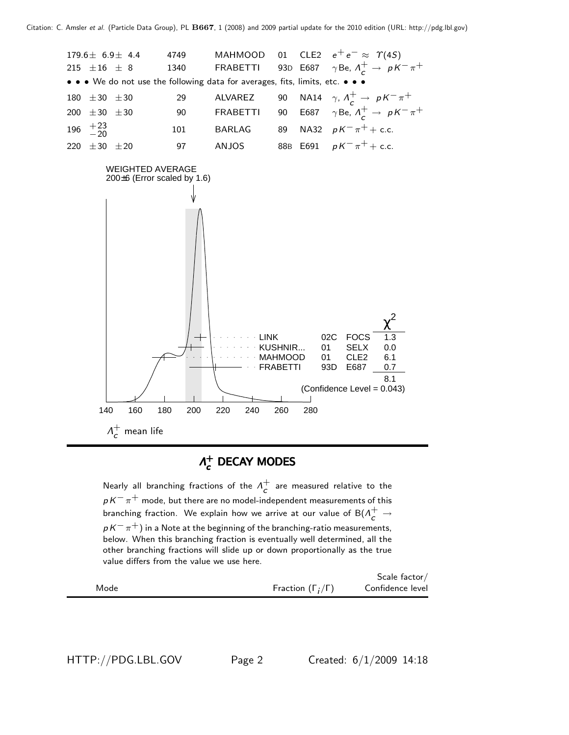

### $Λ^+_{c}$  $\Lambda_c^+$  DECAY MODES

Nearly all branching fractions of the  $\Lambda_c^+$  $\overline{c}$  are measured relative to the  $p K^-\pi^+$  mode, but there are no model-independent measurements of this branching fraction. We explain how we arrive at our value of  $\mathsf{B}(\Lambda_{\mathsf{C}}^+\rightarrow \Lambda_{\mathsf{C}}^+)$  $p$  K $^{-}$   $\pi^{+}$ ) in a Note at the beginning of the branching-ratio measurements, below. When this branching fraction is eventually well determined, all the other branching fractions will slide up or down proportionally as the true value differs from the value we use here.

|      |                              | Scale factor $/$ |
|------|------------------------------|------------------|
| Mode | Fraction $(\Gamma_i/\Gamma)$ | Confidence level |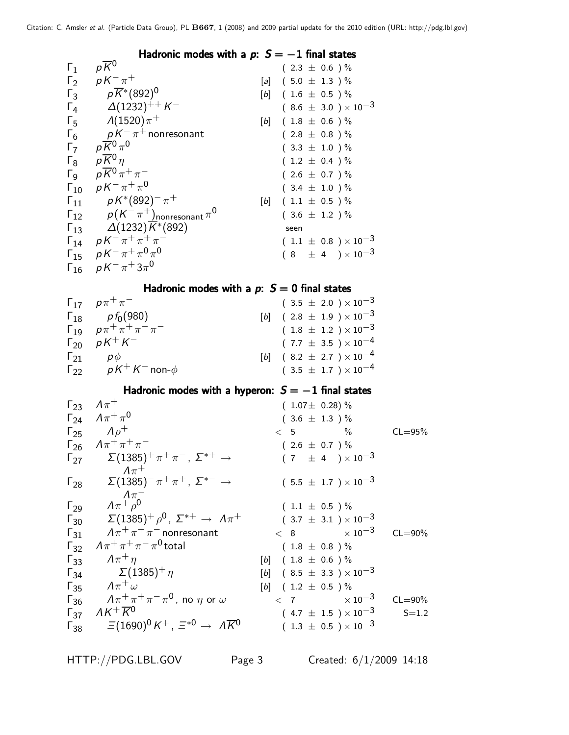|               | Hadronic modes with a $p: S = -1$ final states                                                                                                                                |                                                 |  |
|---------------|-------------------------------------------------------------------------------------------------------------------------------------------------------------------------------|-------------------------------------------------|--|
| $\Gamma_1$    | $p\overline{K}{}^0$                                                                                                                                                           | $(2.3 \pm 0.6) \%$                              |  |
|               | $\Gamma_2$ $pK^{-}\pi^{+}$                                                                                                                                                    | [a] $(5.0 \pm 1.3)$ %                           |  |
|               | $\Gamma_3$ $p\overline{K}^*(892)^0$                                                                                                                                           | $[b]$ (1.6 $\pm$ 0.5 ) %                        |  |
|               | $\Gamma_4$ $\Delta(1232)^{++}$ K <sup>-1</sup>                                                                                                                                | $(8.6 \pm 3.0) \times 10^{-3}$                  |  |
|               | $\Gamma_5$ $\Lambda(1520)\pi^+$                                                                                                                                               | $[b]$ (1.8 $\pm$ 0.6 ) %                        |  |
|               | $\Gamma_6$ $pK^-\pi^+$ nonresonant<br>$\Gamma_7$ $p\overline{K}^0_2\pi^0$                                                                                                     | $(2.8 \pm 0.8) \%$                              |  |
|               |                                                                                                                                                                               | $(3.3 \pm 1.0) \%$                              |  |
|               | $\Gamma_8$ $p\overline{K}^0 \eta$                                                                                                                                             | $(1.2 \pm 0.4) \%$                              |  |
|               | $\Gamma_9$ $p\overline{K}^0 \pi^+ \pi^-$                                                                                                                                      | $(2.6 \pm 0.7) \%$                              |  |
|               | $\Gamma_{10}$ $pK^{-}\pi^{+}\pi^{0}$                                                                                                                                          | $(3.4 \pm 1.0) \%$                              |  |
|               |                                                                                                                                                                               | $[b]$ (1.1 $\pm$ 0.5 ) %                        |  |
|               |                                                                                                                                                                               | $(3.6 \pm 1.2) \%$                              |  |
|               | $\begin{array}{ccc} \n\Gamma_{11} & pK^*(892)^-\pi^+\\ \n\Gamma_{12} & p(K^-\pi^+)_{\text{nonresonant}}\pi^0\\ \n\Gamma_{13} & \Delta(1232)\overline{K^*(892)} \n\end{array}$ | seen                                            |  |
|               | $\Gamma_{14}$ $pK^{-} \pi^{+} \pi^{+} \pi^{-}$                                                                                                                                | $(1.1 \pm 0.8) \times 10^{-3}$                  |  |
|               | $\Gamma_{15}$ $pK^{-}\pi^{+}\pi^{0}\pi^{0}$                                                                                                                                   | $(8 \pm 4) \times 10^{-3}$                      |  |
|               | $\Gamma_{16}$ $pK^{-}\pi^{+}3\pi^{0}$                                                                                                                                         |                                                 |  |
|               | Hadronic modes with a $p: S = 0$ final states                                                                                                                                 |                                                 |  |
|               | $\Gamma_{17}$ $p\pi^{+}\pi^{-}$                                                                                                                                               | $(3.5 \pm 2.0) \times 10^{-3}$                  |  |
|               | $\Gamma_{18}$ $p f_0(980)$                                                                                                                                                    | $[b]$ (2.8 $\pm$ 1.9) $\times$ 10 <sup>-3</sup> |  |
|               | $\Gamma_{19}$ $\rho \pi^{+} \pi^{+} \pi^{-} \pi^{-}$                                                                                                                          | $(1.8 \pm 1.2) \times 10^{-3}$                  |  |
|               | $\Gamma_{20}$ $pK^{+}K^{-}$                                                                                                                                                   | $(7.7 \pm 3.5) \times 10^{-4}$                  |  |
|               | $\Gamma_{21}$ $p\phi$                                                                                                                                                         | [b] $(8.2 \pm 2.7) \times 10^{-4}$              |  |
|               | $\Gamma_{22}$ $pK^+K^-$ non- $\phi$                                                                                                                                           | $(3.5 \pm 1.7) \times 10^{-4}$                  |  |
|               | Hadronic modes with a hyperon: $S = -1$ final states                                                                                                                          |                                                 |  |
|               | $\Gamma_{23}$ $\Lambda \pi^+$                                                                                                                                                 | $(1.07 \pm 0.28)\%$                             |  |
|               | $\Gamma_{24}$ $A\pi^{+}\pi^{0}$                                                                                                                                               | $(3.6 \pm 1.3) \%$                              |  |
|               | $\Gamma_{25}$ $\Lambda \rho^+$                                                                                                                                                | $\%$<br>$CL = 95%$<br>< 5                       |  |
|               | $\Gamma_{26}$ $A\pi^{+}\pi^{+}\pi^{-}$                                                                                                                                        | $(2.6 \pm 0.7) \%$                              |  |
| $\Gamma_{27}$ | $\Sigma(1385)^+ \pi^+ \pi^-$ , $\Sigma^{*+} \rightarrow$<br>$\Lambda \pi^+$                                                                                                   | $(7 \pm 4) \times 10^{-3}$                      |  |
| $\Gamma_{28}$ | $\Sigma(1385)^- \pi^+ \pi^+$ , $\Sigma^{*-} \rightarrow$                                                                                                                      | $(5.5 \pm 1.7) \times 10^{-3}$                  |  |
| $\Gamma_{29}$ | $A\pi^+\pi^-$                                                                                                                                                                 | $(1.1 \pm 0.5) \%$                              |  |
| $\Gamma_{30}$ | $\Sigma(1385)^+\rho^0$ , $\Sigma^{*+}\rightarrow~\Lambda\pi^+$                                                                                                                | $(3.7 \pm 3.1) \times 10^{-3}$                  |  |
| $\Gamma_{31}$ | $A\pi^+\pi^+\pi^-$ nonresonant                                                                                                                                                | $< 8$ $\times 10^{-3}$<br>$CL = 90\%$           |  |
| $\Gamma_{32}$ | $A\pi^+\pi^+\pi^-\pi^0$ total                                                                                                                                                 | $(1.8 \pm 0.8) \%$                              |  |
| $\Gamma_{33}$ | $\Lambda \pi^+ \eta$                                                                                                                                                          | $[b]$ (1.8 $\pm$ 0.6 ) %                        |  |
| $\Gamma_{34}$ | $\Sigma(1385)^{+}\eta$                                                                                                                                                        | [b] $(8.5 \pm 3.3) \times 10^{-3}$              |  |
|               |                                                                                                                                                                               |                                                 |  |

 $\Gamma_{35}$   $A\pi^{+}\omega$  [b] ( 1.2  $\pm$  0.5 ) %  $\sqrt{7}$   $\pi^+\pi^+\pi^-\pi^0$ , no  $\eta$  or  $\omega$   $\sqrt{7}$   $\times 10^{-3}$  CL=90%  $\sqrt{137}$   $\sqrt{16}$   $\sqrt{17}$   $\sqrt{10^{-3}}$   $\sqrt{10^{-3}}$   $\sqrt{121}$   $\sqrt{10^{-3}}$   $\sqrt{121}$   $\sqrt{10}$   $\sqrt{10}$   $\sqrt{10}$   $\sqrt{10}$   $\sqrt{10}$   $\sqrt{10}$   $\sqrt{10}$   $\sqrt{10}$   $\sqrt{10}$   $\sqrt{10}$   $\sqrt{10}$   $\sqrt{10}$   $\sqrt{10}$   $\sqrt{10}$   $\sqrt{10}$   $\sqrt{1$  $\overline{F}_{38}$  =  $(1690)^{0} K^{+}$ ,  $\Xi^{*0} \rightarrow \overline{AK}^{0}$  (1.3  $\pm$  0.5 )  $\times$  10<sup>-3</sup>

HTTP://PDG.LBL.GOV Page 3 Created: 6/1/2009 14:18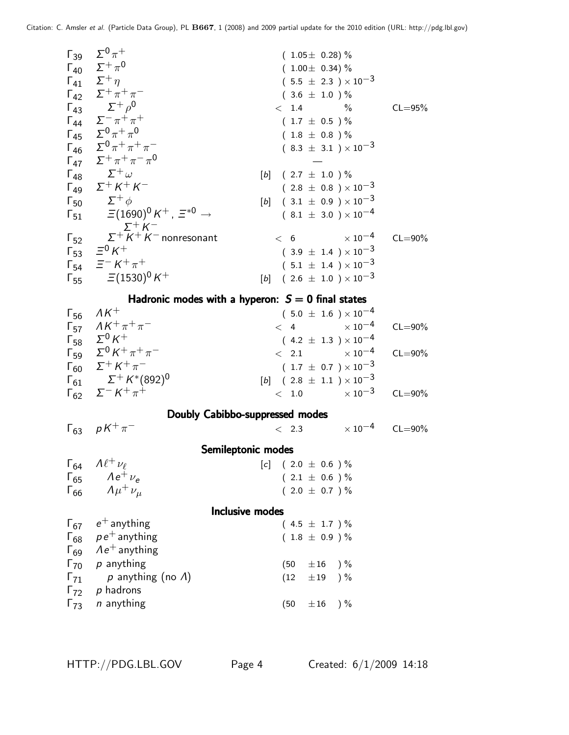|                        | $\Gamma_{39}$ $\Sigma^{0} \pi^{+}$                                            | $(1.05 \pm 0.28)\%$                                 |             |
|------------------------|-------------------------------------------------------------------------------|-----------------------------------------------------|-------------|
|                        | $\Gamma_{40}$ $\Sigma^{+} \pi^{0}$                                            | $(1.00 \pm 0.34)\%$                                 |             |
|                        | $\Gamma_{41}$ $\Sigma^+ \eta$                                                 | $(5.5 \pm 2.3) \times 10^{-3}$                      |             |
|                        | $\Gamma_{42}$ $\Sigma^{+} \pi^{+} \pi^{-}$                                    | $(3.6 \pm 1.0) \%$                                  |             |
|                        | $\Gamma_{43}^{+2}$ $\Sigma^{+}\rho^{0}$                                       | $<$ 1.4<br>$\%$                                     | $CL = 95%$  |
|                        | $\Gamma_{44}$ $\Sigma^{-} \pi^{+} \pi^{+}$                                    | $(1.7 \pm 0.5) \%$                                  |             |
|                        | $\Gamma_{45}$ $\Sigma^{0} \pi^{+} \pi^{0}$                                    | $(1.8 \pm 0.8) \%$                                  |             |
|                        | $\Gamma_{46}$ $\Sigma^{0} \pi^{+} \pi^{+} \pi^{-}$                            | $(8.3 \pm 3.1) \times 10^{-3}$                      |             |
|                        | $\Gamma_{47}$ $\Sigma^{+} \pi^{+} \pi^{-} \pi^{0}$                            |                                                     |             |
|                        | $\Gamma_{48}$ $\Sigma^{+}\omega$                                              | $[b]$ (2.7 $\pm$ 1.0 ) %                            |             |
|                        | $Γ_{49}$ $Σ^{+} K^{+} K^{-}$                                                  | $(2.8 \pm 0.8) \times 10^{-3}$                      |             |
|                        | $\Gamma_{50}$ $\Sigma^{+}\phi$                                                | $[b]$ (3.1 $\pm$ 0.9 ) $\times$ 10 <sup>-3</sup>    |             |
|                        | $\Gamma_{51}$ = (1690) <sup>0</sup> K <sup>+</sup> , $\Xi^{*0}$ $\rightarrow$ | $(8.1 \pm 3.0) \times 10^{-4}$                      |             |
|                        | $\Sigma^+ K^-$                                                                |                                                     |             |
|                        | $\Gamma_{52}$ $\Sigma^{+}$ $K^{+}$ $K^{-}$ nonresonant                        | $< 6$ $\times 10^{-4}$                              | $CL = 90\%$ |
|                        | $\Gamma_{53}$ = $^{0}$ K <sup>+</sup>                                         | $(3.9 \pm 1.4) \times 10^{-3}$                      |             |
|                        | $\Gamma_{54}$ $\equiv^- K^+ \pi^+$                                            | $(5.1 \pm 1.4) \times 10^{-3}$                      |             |
|                        | $\Gamma_{55}$ = (1530) <sup>0</sup> K <sup>+</sup>                            | [b] $(2.6 \pm 1.0) \times 10^{-3}$                  |             |
|                        |                                                                               |                                                     |             |
|                        |                                                                               | Hadronic modes with a hyperon: $S = 0$ final states |             |
| $\mathsf{\Gamma}_{56}$ | $\Lambda K^+$                                                                 | $(5.0 \pm 1.6) \times 10^{-4}$                      |             |
|                        | $\Gamma_{57}$ $\Delta K^{+} \pi^{+} \pi^{-}$                                  | $< 4 \times 10^{-4}$                                | $CL = 90\%$ |
|                        | $\Gamma_{58}$ $\Sigma^0 K^+$                                                  | $(4.2 \pm 1.3) \times 10^{-4}$                      |             |
|                        | $Γ_{59}$ $\Sigma^0 K^+ \pi^+ \pi^-$                                           | $< 2.1 \times 10^{-4}$                              | $CL = 90\%$ |
|                        | $\Gamma_{60}$ $\Sigma^{+}$ K <sup>+</sup> $\pi^{-}$                           | $(1.7\,\pm\,0.7\,\pi)\times10^{-3}$                 |             |
|                        | $\Gamma_{61}$ $\Sigma^{+} K^{*}(892)^{0}$                                     | [b] $(2.8 \pm 1.1) \times 10^{-3}$                  |             |
|                        | $\Gamma_{62}$ $\Sigma^- K^+ \pi^+$                                            | $< 1.0 \times 10^{-3}$                              | $CL = 90\%$ |
|                        |                                                                               | Doubly Cabibbo-suppressed modes                     |             |
|                        | $\Gamma_{63}$ $pK^{+}\pi^{-}$                                                 | $<$ 2.3 $\times 10^{-4}$ CL=90%                     |             |
|                        |                                                                               |                                                     |             |
|                        |                                                                               | Semileptonic modes                                  |             |
| $\Gamma_{64}$          | $\Lambda \ell^+ \nu_\ell$                                                     | $(2.0 \pm 0.6)$ %<br>[c]                            |             |
|                        | $\Gamma_{65}$ $Ae^{+}\nu_{e}$                                                 | $(2.1 \pm 0.6) \%$                                  |             |
| $\Gamma_{66}$          | $\Lambda \mu^+ \nu_\mu$                                                       | $(2.0 \pm 0.7) \%$                                  |             |
|                        |                                                                               | <b>Inclusive modes</b>                              |             |
|                        | $\Gamma_{67}$ $e^+$ anything                                                  | $(4.5 \pm 1.7) \%$                                  |             |
| $\Gamma_{68}$          | $p e^+$ anything                                                              | $(1.8 \pm 0.9) \%$                                  |             |
| $\Gamma_{69}$          | $Ae^+$ anything                                                               |                                                     |             |
| $\Gamma_{70}$          | p anything                                                                    | (50)<br>$\pm 16$ )%                                 |             |
| $\Gamma_{71}$          | p anything (no $\Lambda$ )                                                    | (12)<br>$\pm 19$<br>$) \%$                          |             |
| $\Gamma_{72}$          | p hadrons                                                                     |                                                     |             |
| $\Gamma_{73}$          | n anything                                                                    | $)$ %<br>(50)<br>±16                                |             |
|                        |                                                                               |                                                     |             |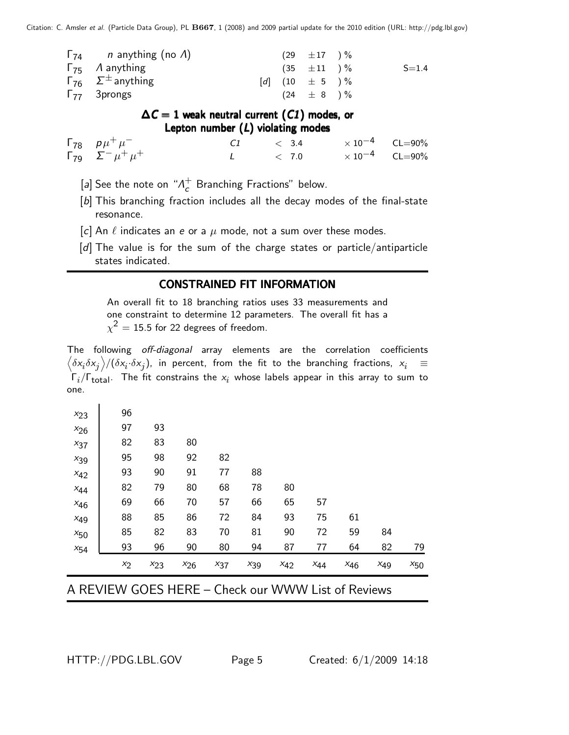| $\Gamma_{74}$ <i>n</i> anything (no <i>A</i> ) |  | $(29 \pm 17) \%$      |           |
|------------------------------------------------|--|-----------------------|-----------|
| $\Gamma_{75}$ A anything                       |  | $(35 \pm 11) \%$      | $S = 1.4$ |
| $\Gamma_{76}$ $\Sigma^{\pm}$ anything          |  | $[d]$ $(10 \pm 5) \%$ |           |
| $\Gamma_{77}$ 3prongs                          |  | $(24 \pm 8) \%$       |           |

 $\Delta C = 1$  weak neutral current (C1) modes, or Lepton number  $(L)$  violating modes

Γ<sub>78</sub>  $p\mu^+\mu$ − C1  $<$  3.4  $\times 10^{-4}$  CL=90%  $\overline{\Gamma}_{79}$   $\overline{\Sigma}$   $\mu$ <sup>+</sup>  $\mu$  $+$  L  $< 7.0$   $\times 10^{-4}$  CL=90%

[a] See the note on " $\Lambda_c^+$  $_{c}^{+}$  Branching Fractions" below.

- [b] This branching fraction includes all the decay modes of the final-state resonance.
- [c] An  $\ell$  indicates an e or a  $\mu$  mode, not a sum over these modes.
- [d] The value is for the sum of the charge states or particle/antiparticle states indicated.

### CONSTRAINED FIT INFORMATION

An overall fit to 18 branching ratios uses 33 measurements and one constraint to determine 12 parameters. The overall fit has a  $\chi^2=15.5$  for 22 degrees of freedom.

The following off-diagonal array elements are the correlation coefficients  $\left<\delta x_i\delta x_j\right>$ /( $\delta x_i\cdot\delta x_j$ ), in percent, from the fit to the branching fractions,  $x_i$   $\;\equiv$  $\Gamma_i/\Gamma_{\rm total}$ . The fit constrains the  $x_i$  whose labels appear in this array to sum to one.

| $x_{23}$ | 96    |          |          |          |          |          |          |          |          |          |
|----------|-------|----------|----------|----------|----------|----------|----------|----------|----------|----------|
| $x_{26}$ | 97    | 93       |          |          |          |          |          |          |          |          |
| $x_{37}$ | 82    | 83       | 80       |          |          |          |          |          |          |          |
| $x_{39}$ | 95    | 98       | 92       | 82       |          |          |          |          |          |          |
| $x_{42}$ | 93    | 90       | 91       | 77       | 88       |          |          |          |          |          |
| $x_{44}$ | 82    | 79       | 80       | 68       | 78       | 80       |          |          |          |          |
| $x_{46}$ | 69    | 66       | 70       | 57       | 66       | 65       | 57       |          |          |          |
| $x_{49}$ | 88    | 85       | 86       | 72       | 84       | 93       | 75       | 61       |          |          |
| $x_{50}$ | 85    | 82       | 83       | 70       | 81       | 90       | 72       | 59       | 84       |          |
| $x_{54}$ | 93    | 96       | 90       | 80       | 94       | 87       | 77       | 64       | 82       | 79       |
|          | $x_2$ | $x_{23}$ | $x_{26}$ | $x_{37}$ | $x_{39}$ | $x_{42}$ | $x_{44}$ | $x_{46}$ | $x_{49}$ | $x_{50}$ |

A REVIEW GOES HERE – Check our WWW List of Reviews

 $\blacksquare$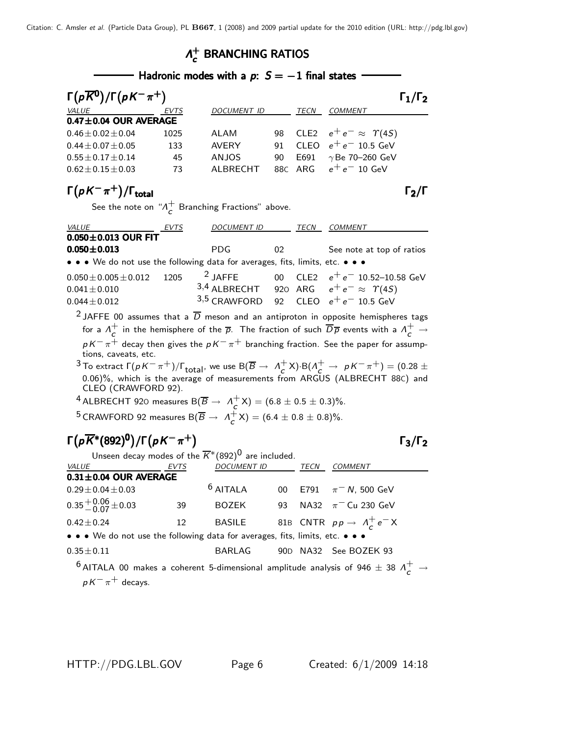### $Λ_{c}^{+}$  $\Lambda_c^+$  branching ratios

|                                             | Hadronic modes with a $p: S = -1$ final states |              |    |         |                                    |                     |  |  |  |
|---------------------------------------------|------------------------------------------------|--------------|----|---------|------------------------------------|---------------------|--|--|--|
| $\Gamma(p\overline{K}^0)/\Gamma(pK^-\pi^+)$ |                                                |              |    |         |                                    | $\Gamma_1/\Gamma_2$ |  |  |  |
| VALUE                                       | EVTS                                           | DOCUMENT ID  |    | TECN    | <b>COMMENT</b>                     |                     |  |  |  |
| $0.47 \pm 0.04$ OUR AVERAGE                 |                                                |              |    |         |                                    |                     |  |  |  |
| $0.46 \pm 0.02 \pm 0.04$                    | 1025                                           | ALAM         | 98 |         | CLE2 $e^+e^- \approx \Upsilon(4S)$ |                     |  |  |  |
| $0.44 \pm 0.07 \pm 0.05$                    | 133                                            | <b>AVERY</b> | 91 |         | CLEO $e^+e^-$ 10.5 GeV             |                     |  |  |  |
| $0.55 \pm 0.17 \pm 0.14$                    | 45                                             | ANJOS        | 90 | E691    | $\gamma$ Be 70–260 GeV             |                     |  |  |  |
| $0.62 \pm 0.15 \pm 0.03$                    | 73                                             | ALBRECHT     |    | 88C ARG | $e^+e^-$ 10 GeV                    |                     |  |  |  |
|                                             |                                                |              |    |         |                                    |                     |  |  |  |

#### $\Gamma(pK^-\pi^+)$ /Γ<sub>total</sub> Σεντρικής προσπαθείς της προσπαθείς της προσπαθείας της προσπαθείας της προσπαθείας της προσπαθείας της προσπαθείας της προσπαθείας της προσπαθείας της προσπαθείας της προσπαθείας της προσπαθείας της total $\overline{2}/\overline{1}$

See the note on " $\Lambda_c^+$  $\overline{c}$  Branching Fractions" above.

| <b>VALUE</b>                                                                  | EVTS | <b>DOCUMENT ID</b>                       |    | TECN | <b>COMMENT</b>                                                              |
|-------------------------------------------------------------------------------|------|------------------------------------------|----|------|-----------------------------------------------------------------------------|
| $0.050 \pm 0.013$ OUR FIT                                                     |      |                                          |    |      |                                                                             |
| $0.050 \pm 0.013$                                                             |      | PDG.                                     | 02 |      | See note at top of ratios                                                   |
| • • • We do not use the following data for averages, fits, limits, etc. • • • |      |                                          |    |      |                                                                             |
| $0.050 \pm 0.005 \pm 0.012$                                                   | 1205 | $2$ JAFFE                                |    |      | 00 $\,$ CLE2 $\,$ $\,$ e <sup><math>+</math></sup> e $^{-}$ 10.52–10.58 GeV |
| $0.041 \pm 0.010$                                                             |      |                                          |    |      | 3,4 ALBRECHT 920 ARG $e^+e^- \approx \Upsilon(45)$                          |
| $0.044 \pm 0.012$                                                             |      | $3.5$ CRAWFORD 92 CLEO $e^+e^-$ 10.5 GeV |    |      |                                                                             |

<sup>2</sup> JAFFE 00 assumes that a  $\overline{D}$  meson and an antiproton in opposite hemispheres tags for a  $\Lambda_c^+$  $\frac{+}{c}$  in the hemisphere of the  $\overline{\rho}$ . The fraction of such  $\overline{D} \overline{\rho}$  events with a  $\Lambda^+_c$   $\to$  $p$  K $^-\pi^+$  decay then gives the  $p$  K $^-\pi^+$  branching fraction. See the paper for assumptions, caveats, etc.

 $^3$  To extract  $\Gamma(pK^-\pi^+)/\Gamma_{\rm total}$ , we use  ${\rm B}(\overline B\to~\Lambda^+_C)$  $(c + K) \cdot B(\Lambda_c^+ \to pK^- \pi^+) = (0.28 \pm$ 0.06)%, which is the average of measurements from ARGUS (ALBRECHT 88C) and CLEO (CRAWFORD 92).

<sup>4</sup> ALBRECHT 920 measures B(
$$
\overline{B}
$$
  $\rightarrow$   $\Lambda_c^+ X$ ) = (6.8  $\pm$  0.5  $\pm$  0.3)%.

<sup>5</sup> CRAWFORD 92 measures B( $\overline{B} \rightarrow A_{\sim}^{+}$  $C^+$ X) = (6.4  $\pm$  0.8  $\pm$  0.8)%.

### $\Gamma(p\overline{K}^*(892)^0)/\Gamma(pK^-\pi^+)$  Γ<sub>3</sub>/Γ<sub>2</sub>

 $Γ_3/Γ_2$ 

| Unseen decay modes of the $\overline{K}^*(892)^0$ are included.               |      |                    |    |      |                                                                                                                       |  |
|-------------------------------------------------------------------------------|------|--------------------|----|------|-----------------------------------------------------------------------------------------------------------------------|--|
| <i>VALUE</i>                                                                  | EVTS | <i>DOCUMENT ID</i> |    | TECN | <b>COMMENT</b>                                                                                                        |  |
| $0.31 \pm 0.04$ OUR AVERAGE                                                   |      |                    |    |      |                                                                                                                       |  |
| $0.29 \pm 0.04 \pm 0.03$                                                      |      | $6$ AITALA         |    |      | 00 E791 $\pi^-$ N, 500 GeV                                                                                            |  |
| $0.35 + 0.06 + 0.03$                                                          | 39   | <b>BOZEK</b>       | 93 |      | NA32 $\pi^-$ Cu 230 GeV                                                                                               |  |
| $0.42 \pm 0.24$                                                               | 12   | BASILE             |    |      | 81B CNTR $pp \rightarrow A_c^+e^-X$                                                                                   |  |
| • • • We do not use the following data for averages, fits, limits, etc. • • • |      |                    |    |      |                                                                                                                       |  |
| $0.35 \pm 0.11$                                                               |      | BARLAG             |    |      | 90D NA32 See BOZEK 93                                                                                                 |  |
|                                                                               |      |                    |    |      | $^{6}$ AITALA 00 makes a coherent 5-dimensional amplitude analysis of 946 $\pm$ 38 $\Lambda^+_{\cal C}$ $\rightarrow$ |  |

 $p K^{-} \pi^{+}$  decays.

HTTP://PDG.LBL.GOV Page 6 Created: 6/1/2009 14:18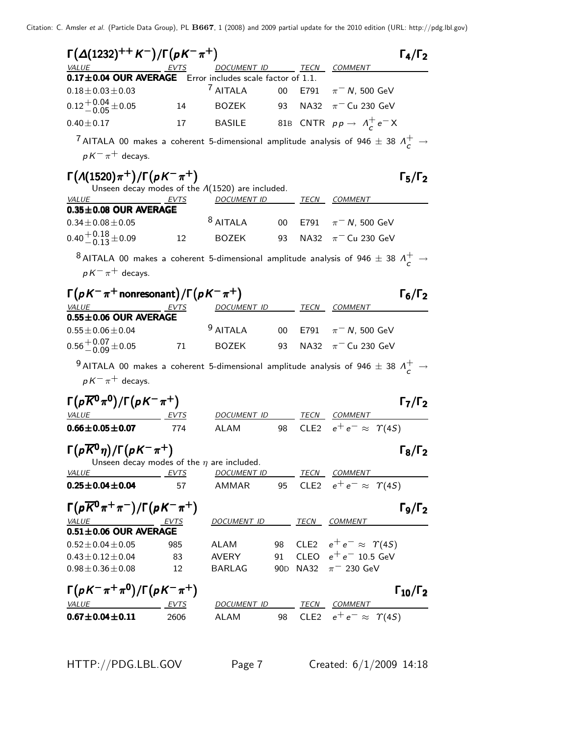| $\Gamma(\Delta(1232)^{++} K^-)/\Gamma(pK^-\pi^+)$                                                            |      |                                                         |        |                  |                                             | $\Gamma_4/\Gamma_2$    |
|--------------------------------------------------------------------------------------------------------------|------|---------------------------------------------------------|--------|------------------|---------------------------------------------|------------------------|
| <i>VALUE</i>                                                                                                 |      | DOCUMENT ID                                             |        |                  | TECN COMMENT                                |                        |
| 0.17±0.04 OUR AVERAGE Error includes scale factor of 1.1.<br>$0.18 \pm 0.03 \pm 0.03$                        |      | <sup>7</sup> AITALA                                     | 00     | E791             | $\pi^-$ N, 500 GeV                          |                        |
|                                                                                                              |      |                                                         |        |                  |                                             |                        |
| $0.12^{+0.04}_{-0.05}$ ± 0.05                                                                                | 14   | <b>BOZEK</b>                                            | 93     | <b>NA32</b>      | $\pi$ <sup>-</sup> Cu 230 GeV               |                        |
| $0.40 \pm 0.17$                                                                                              | 17   | <b>BASILE</b>                                           |        |                  | 81B CNTR $pp \rightarrow \Lambda_c^+ e^- X$ |                        |
| <sup>7</sup> AITALA 00 makes a coherent 5-dimensional amplitude analysis of 946 $\pm$ 38 $\Lambda_c^+$ $\to$ |      |                                                         |        |                  |                                             |                        |
| $pK^{-}\pi^{+}$ decays.                                                                                      |      |                                                         |        |                  |                                             |                        |
|                                                                                                              |      |                                                         |        |                  |                                             |                        |
| $\Gamma(A(1520)\pi^+)/\Gamma(pK^-\pi^+)$                                                                     |      | Unseen decay modes of the $\Lambda(1520)$ are included. |        |                  |                                             | $\Gamma_5/\Gamma_2$    |
| VALUE                                                                                                        | EVTS | <u>DOCUMENT ID</u>                                      |        | TECN             | COMMENT                                     |                        |
| $0.35 \pm 0.08$ OUR AVERAGE                                                                                  |      |                                                         |        |                  |                                             |                        |
| $0.34 \pm 0.08 \pm 0.05$                                                                                     |      | $8$ AITALA                                              | 00     | E791             | $\pi^-$ N, 500 GeV                          |                        |
| $0.40 + 0.18 + 0.09$                                                                                         | 12   | <b>BOZEK</b>                                            | 93     | <b>NA32</b>      | $\pi$ <sup>-</sup> Cu 230 GeV               |                        |
|                                                                                                              |      |                                                         |        |                  |                                             |                        |
| $^8$ AITALA 00 makes a coherent 5-dimensional amplitude analysis of 946 $\pm$ 38 $\Lambda_c^+$ $\rightarrow$ |      |                                                         |        |                  |                                             |                        |
| $pK^{-}\pi^{+}$ decays.                                                                                      |      |                                                         |        |                  |                                             |                        |
| $\Gamma(pK^-\pi^+$ nonresonant) / $\Gamma(pK^-\pi^+)$                                                        |      |                                                         |        |                  |                                             | $\Gamma_6/\Gamma_2$    |
| VALUE                                                                                                        | EVTS | DOCUMENT ID TECN COMMENT                                |        |                  |                                             |                        |
| $0.55\pm0.06$ OUR AVERAGE                                                                                    |      |                                                         |        |                  |                                             |                        |
| $0.55 \pm 0.06 \pm 0.04$                                                                                     |      | <sup>9</sup> AITALA                                     | $00\,$ |                  | E791 $\pi^-$ N, 500 GeV                     |                        |
| $0.56 + 0.07 + 0.05$                                                                                         | 71   | <b>BOZEK</b>                                            | 93     | NA32             | $\pi^-$ Cu 230 GeV                          |                        |
| $^9$ AITALA 00 makes a coherent 5-dimensional amplitude analysis of 946 $\pm$ 38 $\Lambda_c^+$ $\rightarrow$ |      |                                                         |        |                  |                                             |                        |
| $pK^{-}\pi^{+}$ decays.                                                                                      |      |                                                         |        |                  |                                             |                        |
|                                                                                                              |      |                                                         |        |                  |                                             |                        |
| $\Gamma(p\overline{K}^0\pi^0)/\Gamma(pK^-\pi^+)$                                                             |      |                                                         |        |                  |                                             | $\Gamma_7/\Gamma_2$    |
| VALUE                                                                                                        |      | DOCUMENT ID                                             |        |                  | TECN COMMENT                                |                        |
| $0.66 \pm 0.05 \pm 0.07$                                                                                     | 774  | <b>ALAM</b>                                             | 98     | CLE <sub>2</sub> | $e^+e^- \approx \Upsilon(4S)$               |                        |
|                                                                                                              |      |                                                         |        |                  |                                             |                        |
| $\Gamma\big(p\overline{K}{}^0\eta\big)/\Gamma\big(pK^-\pi^+\big)$                                            |      | Unseen decay modes of the $\eta$ are included.          |        |                  |                                             | $\Gamma_8/\Gamma_2$    |
| <i>VALUE</i><br>EVTS                                                                                         |      | <u>DOCUMENT ID</u>                                      |        |                  | <u>TECN COMMENT</u>                         |                        |
| $0.25 \pm 0.04 \pm 0.04$                                                                                     | 57   | AMMAR                                                   |        |                  | 95 CLE2 $e^+e^- \approx \Upsilon(4S)$       |                        |
|                                                                                                              |      |                                                         |        |                  |                                             |                        |
| $\Gamma(p\overline{K}^0\pi^+\pi^-)/\Gamma(pK^-\pi^+)$                                                        |      |                                                         |        |                  |                                             | $\Gamma_9/\Gamma_2$    |
| $\frac{\text{VALUE}}{0.51 \pm 0.06} \frac{\text{EVTS}}{0.01 \pm 0.06}$                                       |      | DOCUMENT ID TECN COMMENT                                |        |                  |                                             |                        |
| $0.52 \pm 0.04 \pm 0.05$                                                                                     | 985  | ALAM                                                    |        |                  | 98 CLE2 $e^+e^- \approx \Upsilon(4S)$       |                        |
| $0.43 \pm 0.12 \pm 0.04$                                                                                     | 83   | AVERY                                                   | 91     |                  | CLEO $e^+e^-$ 10.5 GeV                      |                        |
| $0.98 \pm 0.36 \pm 0.08$                                                                                     | 12   | BARLAG                                                  |        |                  | 90D NA32 $\pi$ <sup>-</sup> 230 GeV         |                        |
|                                                                                                              |      |                                                         |        |                  |                                             |                        |
| $\Gamma(pK^-\pi^+\pi^0)/\Gamma(pK^-\pi^+)$                                                                   |      |                                                         |        |                  |                                             | $\Gamma_{10}/\Gamma_2$ |
| VALUE<br><u>EVTS</u>                                                                                         |      | DOCUMENT ID TECN COMMENT                                |        |                  |                                             |                        |
| $0.67 \pm 0.04 \pm 0.11$                                                                                     | 2606 | <b>ALAM</b>                                             |        |                  | 98 CLE2 $e^+e^- \approx \Upsilon(45)$       |                        |
|                                                                                                              |      |                                                         |        |                  |                                             |                        |

HTTP://PDG.LBL.GOV Page 7 Created: 6/1/2009 14:18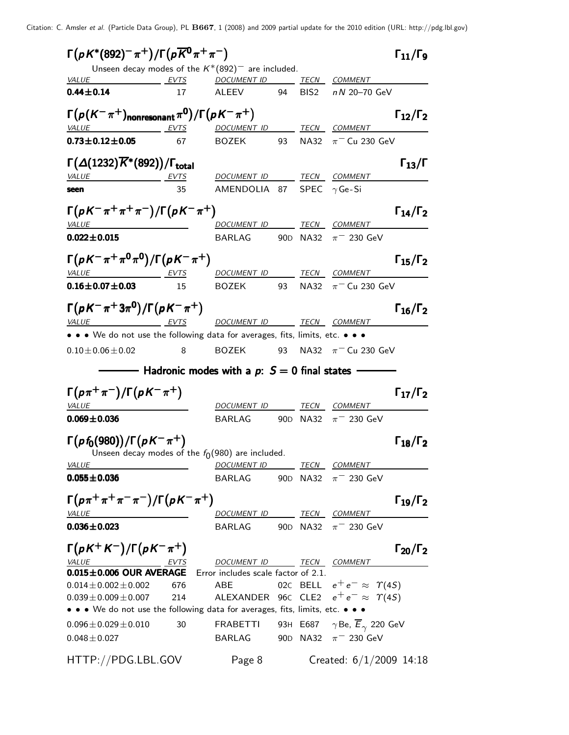| $\Gamma(pK^*(892)^-\pi^+)/\Gamma(p\overline{K^0}\pi^+\pi^-)$                                         |      | Unseen decay modes of the $K^*(892)^-$ are included.       |    |                      |                                            | $\Gamma_{11}/\Gamma_{9}$ |
|------------------------------------------------------------------------------------------------------|------|------------------------------------------------------------|----|----------------------|--------------------------------------------|--------------------------|
| <i>VALUE</i><br>EVTS                                                                                 |      | <b>DOCUMENT ID</b>                                         |    |                      | TECN COMMENT                               |                          |
| $0.44 \pm 0.14$                                                                                      | 17   | ALEEV                                                      | 94 |                      | BIS2 nN 20-70 GeV                          |                          |
| $\Gamma\bigl(\rho(K^-\pi^+)\bigr.\vert_{\rm nonresonant}\pi^0\bigr)/\Gamma\bigl(\rho K^-\pi^+\bigr)$ |      |                                                            |    |                      |                                            | $\Gamma_{12}/\Gamma_2$   |
| <b>VALUE</b>                                                                                         | EVTS | DOCUMENT ID TECN COMMENT                                   |    |                      |                                            |                          |
| $0.73 \pm 0.12 \pm 0.05$                                                                             | 67   | <b>BOZEK</b>                                               | 93 |                      | NA32 $\pi$ <sup>-</sup> Cu 230 GeV         |                          |
| $\Gamma(\Delta(1232)\overline{K}^*(892))/\Gamma_{\rm total}$                                         |      |                                                            |    |                      |                                            | $\Gamma_{13}/\Gamma$     |
| <i>VALUE</i>                                                                                         | EVTS | DOCUMENT ID TECN COMMENT                                   |    |                      |                                            |                          |
| seen                                                                                                 | 35   | AMENDOLIA 87 SPEC $\gamma$ Ge-Si                           |    |                      |                                            |                          |
| $\Gamma(pK^{-}\pi^{+}\pi^{+}\pi^{-})/\Gamma(pK^{-}\pi^{+})$                                          |      |                                                            |    |                      |                                            | $\Gamma_{14}/\Gamma_2$   |
| VALUE                                                                                                |      | DOCUMENT ID TECN COMMENT                                   |    |                      |                                            |                          |
| $0.022 \pm 0.015$                                                                                    |      | BARLAG                                                     |    | 90 <sub>D</sub> NA32 | $\pi$ <sup>-</sup> 230 GeV                 |                          |
| $\Gamma(pK^-\pi^+\pi^0\pi^0)/\Gamma(pK^-\pi^+)$                                                      |      |                                                            |    |                      |                                            | $\Gamma_{15}/\Gamma_2$   |
| VALUE EVTS                                                                                           |      | <u>DOCUMENT ID</u>                                         |    |                      | TECN COMMENT                               |                          |
| $0.16 \pm 0.07 \pm 0.03$                                                                             | 15   | BOZEK                                                      | 93 |                      | NA32 $\pi$ <sup>-</sup> Cu 230 GeV         |                          |
| $\Gamma(pK^-\pi^+3\pi^0)/\Gamma(pK^-\pi^+)$                                                          |      |                                                            |    |                      |                                            | $\Gamma_{16}/\Gamma_2$   |
| <b>VALUE</b><br>EVTS                                                                                 |      | DOCUMENT ID TECN COMMENT                                   |    |                      |                                            |                          |
| • • • We do not use the following data for averages, fits, limits, etc. • • •                        |      |                                                            |    |                      |                                            |                          |
| $0.10 \pm 0.06 \pm 0.02$                                                                             | 8    | <b>BOZEK</b>                                               | 93 |                      | NA32 $\pi$ <sup>-</sup> Cu 230 GeV         |                          |
|                                                                                                      |      | Hadronic modes with a $p: S = 0$ final states              |    |                      |                                            |                          |
| $\Gamma(p\pi^+\pi^-)/\Gamma(pK^-\pi^+)$                                                              |      |                                                            |    |                      |                                            | $\Gamma_{17}/\Gamma_2$   |
| <b>VALUE</b>                                                                                         |      | DOCUMENT ID                                                |    |                      | TECN COMMENT                               |                          |
| $0.069 \pm 0.036$                                                                                    |      | BARLAG                                                     |    | 90 <sub>D</sub> NA32 | $\pi$ <sup>-</sup> 230 GeV                 |                          |
| $\Gamma(p f_0(980))/\Gamma(p K^{-} \pi^{+})$<br>Unseen decay modes of the $f_0(980)$ are included.   |      |                                                            |    |                      |                                            | $\Gamma_{18}/\Gamma_2$   |
| <b>VALUE</b>                                                                                         |      | DOCUMENT ID TECN COMMENT                                   |    |                      |                                            |                          |
| $0.055 \pm 0.036$                                                                                    |      | BARLAG 90D NA32 $\pi$ <sup>-</sup> 230 GeV                 |    |                      |                                            |                          |
| $\Gamma(p\pi^+\pi^+\pi^-\pi^-)/\Gamma(pK^-\pi^+)$                                                    |      |                                                            |    |                      |                                            | $\Gamma_{19}/\Gamma_2$   |
| VALUE                                                                                                |      | DOCUMENT ID TECN COMMENT                                   |    |                      |                                            |                          |
| $0.036 \pm 0.023$                                                                                    |      | BARLAG                                                     |    |                      | 90D NA32 $\pi$ <sup>-</sup> 230 GeV        |                          |
| $\Gamma(pK^+K^-)/\Gamma(pK^-\pi^+)$                                                                  |      |                                                            |    |                      |                                            | $\Gamma_{20}/\Gamma_2$   |
| VALUE<br>EVTS<br>0.015±0.006 OUR AVERAGE Error includes scale factor of 2.1.                         |      | DOCUMENT ID TECN COMMENT                                   |    |                      |                                            |                          |
| $0.014\pm0.002\pm0.002$                                                                              | 676  | ABE                                                        |    |                      | 02C BELL $e^+e^- \approx \Upsilon(4S)$     |                          |
| $0.039 \pm 0.009 \pm 0.007$                                                                          | 214  | ALEXANDER 96 $\epsilon$ CLE2 $e^+e^- \approx \Upsilon(4S)$ |    |                      |                                            |                          |
| • • • We do not use the following data for averages, fits, limits, etc. • • •                        |      |                                                            |    |                      |                                            |                          |
| $0.096 \pm 0.029 \pm 0.010$                                                                          | 30   | <b>FRABETTI</b>                                            |    |                      | 93H E687 $\gamma$ Be, $E_{\gamma}$ 220 GeV |                          |
| $0.048 \pm 0.027$                                                                                    |      | BARLAG                                                     |    |                      | 90D NA32 $\pi$ <sup>-</sup> 230 GeV        |                          |
| HTTP://PDG.LBL.GOV                                                                                   |      | Page 8                                                     |    |                      | Created: $6/1/2009$ 14:18                  |                          |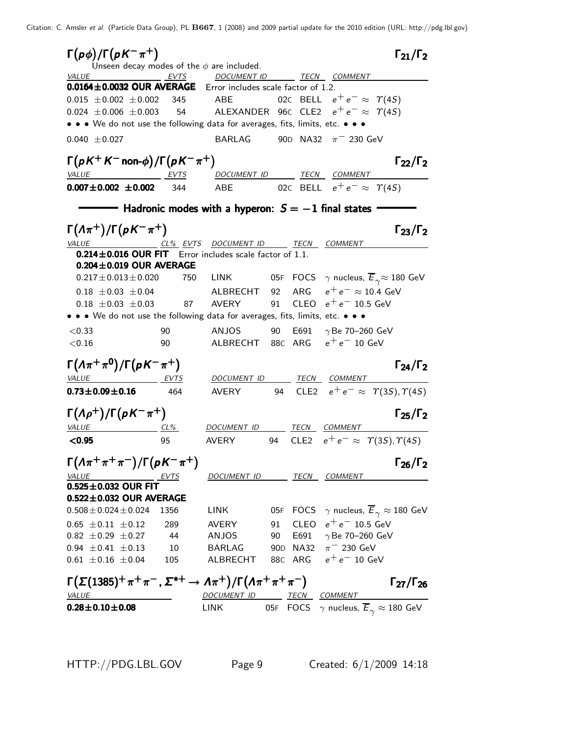| $\Gamma(p\phi)/\Gamma(pK^{-}\pi^{+})$<br>Unseen decay modes of the $\phi$ are included.                |      |                                                                             |    |                                                  | $\Gamma_{21}/\Gamma_2$                                                                                                                          |
|--------------------------------------------------------------------------------------------------------|------|-----------------------------------------------------------------------------|----|--------------------------------------------------|-------------------------------------------------------------------------------------------------------------------------------------------------|
| VALUE EVTS DOCUMENT ID TECN COMMENT                                                                    |      |                                                                             |    |                                                  |                                                                                                                                                 |
| 0.0164±0.0032 OUR AVERAGE Error includes scale factor of 1.2.                                          |      |                                                                             |    |                                                  |                                                                                                                                                 |
| $0.015 \pm 0.002 \pm 0.002$ 345 ABE                                                                    |      |                                                                             |    | 02C BELL $e^+e^- \approx \Upsilon(4S)$           |                                                                                                                                                 |
| 0.024 $\pm$ 0.006 $\pm$ 0.003 54 ALEXANDER 96C CLE2 $e^+e^- \approx \Upsilon(45)$                      |      |                                                                             |    |                                                  |                                                                                                                                                 |
| • • • We do not use the following data for averages, fits, limits, etc. • • •                          |      |                                                                             |    |                                                  |                                                                                                                                                 |
| $0.040 \pm 0.027$                                                                                      |      | BARLAG 90D NA32 $\pi$ <sup>-</sup> 230 GeV                                  |    |                                                  |                                                                                                                                                 |
| $\Gamma(pK^+K^-$ non- $\phi$ )/ $\Gamma(pK^-\pi^+)$                                                    |      |                                                                             |    |                                                  | $\Gamma_{22}/\Gamma_2$                                                                                                                          |
| VALUE EVTS                                                                                             |      | DOCUMENT ID TECN COMMENT                                                    |    |                                                  |                                                                                                                                                 |
| $0.007 \pm 0.002 \pm 0.002$                                                                            | 344  | ABE 02C BELL $e^+e^- \approx \Upsilon(4S)$                                  |    |                                                  |                                                                                                                                                 |
|                                                                                                        |      | $-$ Hadronic modes with a hyperon: $S=-1$ final states -                    |    |                                                  |                                                                                                                                                 |
| $\Gamma(\Lambda \pi^+) / \Gamma(pK^- \pi^+)$                                                           |      |                                                                             |    |                                                  | $\Gamma_{23}/\Gamma_{2}$                                                                                                                        |
| VALUE CL <sup>%</sup> EVTS DOCUMENT ID TECN COMMENT                                                    |      |                                                                             |    |                                                  |                                                                                                                                                 |
| 0.214±0.016 OUR FIT Error includes scale factor of 1.1.                                                |      |                                                                             |    |                                                  |                                                                                                                                                 |
| $0.204 \pm 0.019$ OUR AVERAGE                                                                          |      |                                                                             |    |                                                  |                                                                                                                                                 |
| $0.217 \pm 0.013 \pm 0.020$                                                                            |      | 750 LINK 05F FOCS $\gamma$ nucleus, $\overline{E}_{\gamma} \approx 180$ GeV |    |                                                  |                                                                                                                                                 |
| $0.18 \pm 0.03 \pm 0.04$                                                                               |      | ALBRECHT 92 ARG $e^+e^- \approx 10.4$ GeV                                   |    |                                                  |                                                                                                                                                 |
| $0.18 \pm 0.03 \pm 0.03$                                                                               | 87   | AVERY                                                                       |    | 91 CLEO $e^+e^-$ 10.5 GeV                        |                                                                                                                                                 |
| • • • We do not use the following data for averages, fits, limits, etc. • • •                          |      |                                                                             |    |                                                  |                                                                                                                                                 |
| < 0.33                                                                                                 | 90   | ANJOS                                                                       |    | 90 E691 $\gamma$ Be 70-260 GeV                   |                                                                                                                                                 |
| < 0.16                                                                                                 | 90   | ALBRECHT 88C ARG $e^+e^-$ 10 GeV                                            |    |                                                  |                                                                                                                                                 |
| $\Gamma(\Lambda \pi^+\pi^0)/\Gamma(pK^-\pi^+)$                                                         |      |                                                                             |    |                                                  | $\Gamma_{24}/\Gamma_2$                                                                                                                          |
| VALUE EVTS                                                                                             |      | DOCUMENT ID TECN COMMENT                                                    |    |                                                  |                                                                                                                                                 |
| $0.73 \pm 0.09 \pm 0.16$ 464                                                                           |      | AVERY                                                                       |    |                                                  | 94 CLE2 $e^+e^- \approx \Upsilon(35), \Upsilon(45)$                                                                                             |
| $\Gamma(\Lambda \rho^+)/\Gamma(\rho K^- \pi^+)$                                                        |      |                                                                             |    |                                                  | $\Gamma_{25}/\Gamma_{2}$                                                                                                                        |
| <i>VALUE</i>                                                                                           |      | <u>CL% DOCUMENT ID TECN COMMENT</u>                                         |    |                                                  |                                                                                                                                                 |
| < 0.95                                                                                                 | 95   | <b>AVERY</b>                                                                | 94 | CLE2 $e^+e^- \approx \Upsilon(3S), \Upsilon(4S)$ |                                                                                                                                                 |
| $\Gamma(\Lambda \pi^+\pi^+\pi^-)/\Gamma(pK^-\pi^+)$                                                    |      |                                                                             |    |                                                  | $\Gamma_{26}/\Gamma_2$                                                                                                                          |
| VALUE<br><u>EVTS</u>                                                                                   |      | DOCUMENT ID TECN COMMENT                                                    |    |                                                  |                                                                                                                                                 |
| $0.525 \pm 0.032$ OUR FIT                                                                              |      |                                                                             |    |                                                  |                                                                                                                                                 |
| 0.522±0.032 OUR AVERAGE                                                                                |      |                                                                             |    |                                                  |                                                                                                                                                 |
| $0.508 \pm 0.024 \pm 0.024$                                                                            | 1356 | <b>LINK</b>                                                                 |    |                                                  | 05F FOCS $\gamma$ nucleus, $\overline{E}_{\gamma} \approx 180$ GeV                                                                              |
| $0.65 \pm 0.11 \pm 0.12$                                                                               | 289  | AVERY                                                                       |    | 91 CLEO $e^+e^-$ 10.5 GeV                        |                                                                                                                                                 |
| $0.82 \pm 0.29 \pm 0.27$                                                                               | 44   | ANJOS                                                                       |    | 90 E691 $\gamma$ Be 70-260 GeV                   |                                                                                                                                                 |
| $0.94 \pm 0.41 \pm 0.13$                                                                               | 10   | BARLAG 90D NA32 $\pi$ <sup>-</sup> 230 GeV                                  |    |                                                  |                                                                                                                                                 |
| $0.61 \pm 0.16 \pm 0.04$                                                                               | 105  | ALBRECHT 88C ARG $e^+e^-$ 10 GeV                                            |    |                                                  |                                                                                                                                                 |
| $\Gamma(\Sigma(1385)^+\pi^+\pi^-$ , $\Sigma^{*+}\to\varLambda\pi^+)/\Gamma(\varLambda\pi^+\pi^+\pi^-)$ |      |                                                                             |    |                                                  | $\Gamma_{27}/\Gamma_{26}$                                                                                                                       |
| <b>VALUE</b>                                                                                           |      | DOCUMENT ID TECN COMMENT                                                    |    |                                                  |                                                                                                                                                 |
| $0.28 \pm 0.10 \pm 0.08$                                                                               |      | <b>LINK</b>                                                                 |    |                                                  | $\frac{12 \text{ COMMENT}}{105 \text{ FOCS}}$ $\frac{\text{COMMENT}}{\gamma \text{ nucleus}}$ , $\overline{E}_{\gamma} \approx 180 \text{ GeV}$ |
|                                                                                                        |      |                                                                             |    |                                                  |                                                                                                                                                 |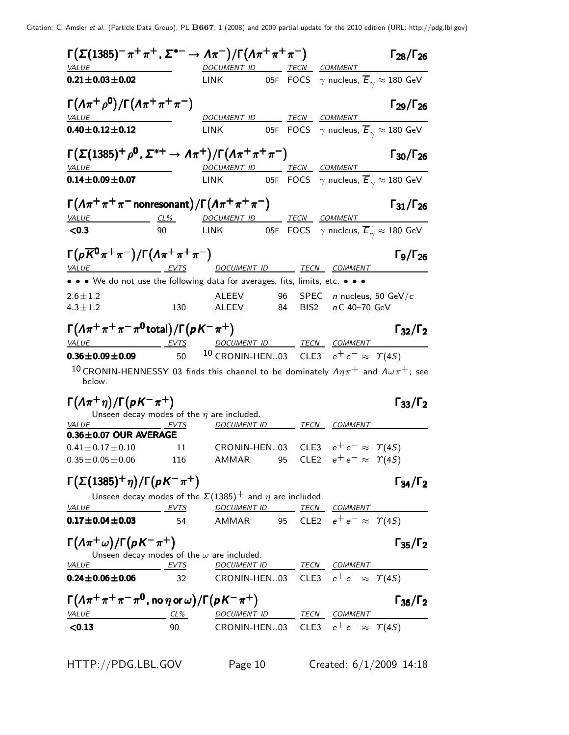| $\Gamma(\Sigma(1385)^- \pi^+ \pi^+, \, \Sigma^{*-} \to \varLambda \pi^-)/\Gamma(\varLambda \pi^+ \pi^+ \pi^-)$<br>VALUE                                                     |     | DOCUMENT ID TECN COMMENT                                                                                   |  |                                    | $\Gamma_{28}/\Gamma_{26}$                                                       |
|-----------------------------------------------------------------------------------------------------------------------------------------------------------------------------|-----|------------------------------------------------------------------------------------------------------------|--|------------------------------------|---------------------------------------------------------------------------------|
| $0.21 \pm 0.03 \pm 0.02$                                                                                                                                                    |     |                                                                                                            |  |                                    | LINK 05F FOCS $\gamma$ nucleus, $\overline{E}_{\gamma} \approx 180 \text{ GeV}$ |
| $\Gamma(\Lambda \pi^+ \rho^0)/\Gamma(\Lambda \pi^+ \pi^+ \pi^-)$<br><b>VALUE</b>                                                                                            |     | DOCUMENT ID TECN COMMENT                                                                                   |  |                                    | $\Gamma_{29}/\Gamma_{26}$                                                       |
| $0.40 \pm 0.12 \pm 0.12$                                                                                                                                                    |     | LINK 05F FOCS $\gamma$ nucleus, $\overline{E}_{\gamma} \approx 180$ GeV                                    |  |                                    |                                                                                 |
| $\Gamma(\Sigma(1385)^+\rho^0, \Sigma^{*+}\to\Lambda\pi^+)/\Gamma(\Lambda\pi^+\pi^+\pi^-)$<br><b>VALUE</b>                                                                   |     |                                                                                                            |  |                                    | $\Gamma_{30}/\Gamma_{26}$                                                       |
| $0.14 \pm 0.09 \pm 0.07$                                                                                                                                                    |     | <u>DOCUMENT ID</u> TECN COMMENT<br>LINK 05F FOCS $\gamma$ nucleus, $\overline{E}_{\gamma} \approx 180$ GeV |  |                                    |                                                                                 |
| $\Gamma(\Lambda\pi^+\pi^+\pi^-$ nonresonant)/ $\Gamma(\Lambda\pi^+\pi^+\pi^-)$                                                                                              |     |                                                                                                            |  |                                    | $\Gamma_{31}/\Gamma_{26}$                                                       |
|                                                                                                                                                                             |     |                                                                                                            |  |                                    |                                                                                 |
| $\frac{Value}{100}$ $\frac{CL\%}{90}$ $\frac{DOCUMENT \quad ID}{100}$ $\frac{TECN}{FOCS}$ $\frac{COMMENT}{\gamma}$ mucleus, $\overline{E}_{\gamma} \approx 180 \text{ GeV}$ |     |                                                                                                            |  |                                    |                                                                                 |
| $\Gamma(p\overline{K}^0\pi^+\pi^-)/\Gamma(\Lambda\pi^+\pi^+\pi^-)$                                                                                                          |     |                                                                                                            |  |                                    | $\Gamma$ <sub>9</sub> / $\Gamma$ <sub>26</sub>                                  |
| VALUE EVTS                                                                                                                                                                  |     | <u>DOCUMENT ID _______ TECN __ COMMENT</u>                                                                 |  |                                    |                                                                                 |
| • • • We do not use the following data for averages, fits, limits, etc. • • •                                                                                               |     |                                                                                                            |  |                                    |                                                                                 |
| $2.6 \pm 1.2$                                                                                                                                                               |     | ALEEV 96                                                                                                   |  | SPEC <i>n</i> nucleus, 50 GeV/ $c$ |                                                                                 |
| $4.3 \pm 1.2$                                                                                                                                                               | 130 | ALEEV 84 BIS2 nC 40-70 GeV                                                                                 |  |                                    |                                                                                 |
| $\Gamma(\Lambda\pi^+\pi^+\pi^-\pi^0$ total) / $\Gamma(\rho K^-\pi^+)$                                                                                                       |     |                                                                                                            |  |                                    | $\Gamma_{32}/\Gamma_2$                                                          |
| VALUE EVTS<br>$0.36 \pm 0.09 \pm 0.09$ 50                                                                                                                                   |     | DOCUMENT ID TECN COMMENT<br><sup>10</sup> CRONIN-HEN03 CLE3 $e^+e^- \approx \Upsilon(45)$                  |  |                                    |                                                                                 |
| 10 CRONIN-HENNESSY 03 finds this channel to be dominately $A\eta\pi^+$ and $A\omega\pi^+$ ; see<br>below.                                                                   |     |                                                                                                            |  |                                    |                                                                                 |
| $\Gamma(\Lambda \pi^+ \eta)/\Gamma(\rho K^- \pi^+)$<br><i>VALUE</i><br><u>EVTS</u>                                                                                          |     | Unseen decay modes of the $\eta$ are included.<br>DOCUMENT ID TECN COMMENT                                 |  |                                    | $\Gamma_{33}/\Gamma_2$                                                          |
| $0.36 \pm 0.07$ OUR AVERAGE                                                                                                                                                 |     |                                                                                                            |  |                                    |                                                                                 |
| $0.41 \pm 0.17 \pm 0.10$                                                                                                                                                    | 11  | CRONIN-HEN03 CLE3 $e^+e^- \approx \Upsilon(4S)$                                                            |  |                                    |                                                                                 |
| $0.35 \pm 0.05 \pm 0.06$ 116 AMMAR 95 CLE2 $e^+e^- \approx \Upsilon(4S)$                                                                                                    |     |                                                                                                            |  |                                    |                                                                                 |
| $\Gamma(\Sigma(1385)^+\eta)/\Gamma(\rho K^-\pi^+)$                                                                                                                          |     |                                                                                                            |  |                                    | $\Gamma_{34}/\Gamma_2$                                                          |
| <u>VALUE EVTS DOCUMENT ID TECN COMMENT</u>                                                                                                                                  |     | Unseen decay modes of the $\Sigma(1385)^+$ and $\eta$ are included.                                        |  |                                    |                                                                                 |
| $0.17 \pm 0.04 \pm 0.03$                                                                                                                                                    | 54  | AMMAR 95 CLE2 $e^+e^- \approx \Upsilon(4S)$                                                                |  |                                    |                                                                                 |
| $\Gamma(\Lambda \pi^+ \omega)/\Gamma(pK^-\pi^+)$                                                                                                                            |     | Unseen decay modes of the $\omega$ are included.                                                           |  |                                    | $\Gamma_{35}/\Gamma_2$                                                          |
| EVTS<br><b>VALUE</b>                                                                                                                                                        |     | DOCUMENT ID TECN COMMENT                                                                                   |  |                                    |                                                                                 |
| $0.24 \pm 0.06 \pm 0.06$                                                                                                                                                    | 32  | CRONIN-HEN03 CLE3 $e^+e^- \approx \Upsilon(4S)$                                                            |  |                                    |                                                                                 |
| $\Gamma(\Lambda\pi^+\pi^+\pi^-\pi^0$ , no $\eta$ or $\omega$ )/ $\Gamma(\rho K^-\pi^+)$                                                                                     |     |                                                                                                            |  |                                    | $\Gamma_{36}/\Gamma_2$                                                          |
| <u>VALUE CL% DOCUMENT ID TECN COMMENT</u>                                                                                                                                   |     |                                                                                                            |  |                                    |                                                                                 |
| < 0.13                                                                                                                                                                      | 90  | CRONIN-HEN03 CLE3 $e^+e^- \approx \Upsilon(45)$                                                            |  |                                    |                                                                                 |
|                                                                                                                                                                             |     |                                                                                                            |  |                                    |                                                                                 |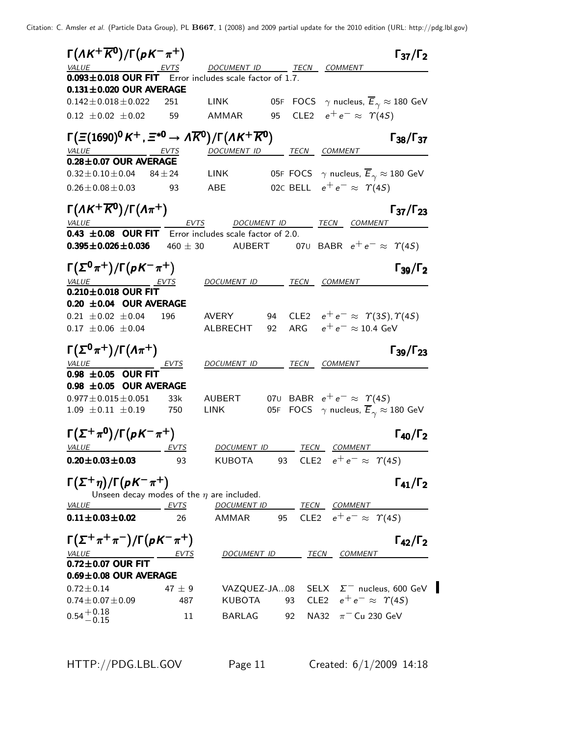| $\Gamma(\Lambda K^+\overline{K^0})/\Gamma(pK^-\pi^+)$                                             |              |                                               |           |                                                  | $\Gamma_{37}/\Gamma_2$                                                     |
|---------------------------------------------------------------------------------------------------|--------------|-----------------------------------------------|-----------|--------------------------------------------------|----------------------------------------------------------------------------|
| <u>VALUE</u> EVTS<br>$\overline{0.093 \pm 0.018}$ OUR FIT Error includes scale factor of 1.7.     |              | DOCUMENT ID TECN COMMENT                      |           |                                                  |                                                                            |
| $0.131 \pm 0.020$ OUR AVERAGE                                                                     |              |                                               |           |                                                  |                                                                            |
| $0.142 \pm 0.018 \pm 0.022$                                                                       | 251          | <b>LINK</b>                                   |           |                                                  | 05F FOCS $\gamma$ nucleus, $\overline{E}_{\gamma} \approx 180$ GeV         |
| $0.12 \pm 0.02 \pm 0.02$ 59                                                                       |              | AMMAR                                         | 95        | CLE2 $e^+e^- \approx \Upsilon(4S)$               |                                                                            |
| $\Gamma(\Xi(1690)^0 K^+, \Xi^{*0} \to \Lambda \overline{K}^0)/\Gamma(\Lambda K^+ \overline{K}^0)$ |              |                                               |           |                                                  | $\Gamma_{38}/\Gamma_{37}$                                                  |
| VALUE EVTS                                                                                        |              | DOCUMENT ID TECN COMMENT                      |           |                                                  |                                                                            |
| $0.28 \pm 0.07$ OUR AVERAGE<br>$0.32 \pm 0.10 \pm 0.04$                                           | $84 \pm 24$  | LINK                                          |           |                                                  | 05F FOCS $\gamma$ nucleus, $\overline{E}_{\gamma} \approx 180$ GeV         |
| $0.26 \pm 0.08 \pm 0.03$                                                                          | 93           | ABE                                           |           | 02C BELL $e^+e^- \approx \Upsilon(4S)$           |                                                                            |
|                                                                                                   |              |                                               |           |                                                  |                                                                            |
| $\Gamma(\Lambda K^+\overline{K^0})/\Gamma(\Lambda\pi^+)$<br><b>VALUE</b>                          |              | EVTS DOCUMENT ID TECN COMMENT                 |           |                                                  | $\Gamma_{37}/\Gamma_{23}$                                                  |
| 0.43 $\pm$ 0.08 OUR FIT Error includes scale factor of 2.0.                                       |              |                                               |           |                                                  |                                                                            |
| $0.395 \pm 0.026 \pm 0.036$                                                                       | $460 \pm 30$ | AUBERT 070 BABR $e^+e^- \approx \Upsilon(4S)$ |           |                                                  |                                                                            |
| $\Gamma(\Sigma^0\pi^+)/\Gamma(\rho K^-\pi^+)$                                                     |              |                                               |           |                                                  | $\Gamma_{39}/\Gamma_2$                                                     |
| VALUE EVTS                                                                                        |              | DOCUMENT ID TECN COMMENT                      |           |                                                  |                                                                            |
| $0.210 \pm 0.018$ OUR FIT                                                                         |              |                                               |           |                                                  |                                                                            |
| 0.20 $\pm$ 0.04 OUR AVERAGE<br>$0.21 \pm 0.02 \pm 0.04$                                           | 196          | AVERY                                         | 94        | CLE2 $e^+e^- \approx \Upsilon(3S), \Upsilon(4S)$ |                                                                            |
| $0.17 \pm 0.06 \pm 0.04$                                                                          |              | ALBRECHT                                      | ARG<br>92 | $e^+e^- \approx 10.4 \text{ GeV}$                |                                                                            |
|                                                                                                   |              |                                               |           |                                                  |                                                                            |
| $\Gamma(\Sigma^0\pi^+)/\Gamma(\Lambda\pi^+)$                                                      |              |                                               |           |                                                  | $\Gamma_{39}/\Gamma_{23}$                                                  |
| VALUE EVTS<br>$0.98 \pm 0.05$ OUR FIT                                                             |              | <u>DOCUMENT ID</u>                            |           | TECN COMMENT                                     |                                                                            |
| $0.98 \pm 0.05$ OUR AVERAGE                                                                       |              |                                               |           |                                                  |                                                                            |
| $0.977 \pm 0.015 \pm 0.051$                                                                       | 33k          | AUBERT                                        |           | 070 BABR $e^+e^- \approx \Upsilon(4S)$           |                                                                            |
| $1.09 \pm 0.11 \pm 0.19$                                                                          | 750          | LINK                                          |           |                                                  | 05F FOCS $\gamma$ nucleus, $\overline{E}_{\gamma} \approx 180 \text{ GeV}$ |
| $\Gamma(\Sigma^+\pi^0)/\Gamma(\rho K^-\pi^+)$                                                     |              |                                               |           |                                                  | $\Gamma_{40}/\Gamma_2$                                                     |
| <i>VALUE</i>                                                                                      | EVTS         | DOCUMENT ID                                   |           | TECN COMMENT                                     |                                                                            |
| $0.20 \pm 0.03 \pm 0.03$                                                                          | 93           | KUBOTA                                        | 93        | CLE2 $e^+e^- \approx \Upsilon(4S)$               |                                                                            |
| $\Gamma(\Sigma^+\eta)/\Gamma(\rho K^-\pi^+)$                                                      |              |                                               |           |                                                  | $\Gamma_{41}/\Gamma_2$                                                     |
| Unseen decay modes of the $\eta$ are included.                                                    |              |                                               |           |                                                  |                                                                            |
| <i>VALUE</i>                                                                                      | EVTS         | DOCUMENT ID TECN COMMENT                      |           |                                                  |                                                                            |
| $0.11 \pm 0.03 \pm 0.02$                                                                          | 26           | AMMAR                                         |           | 95 CLE2 $e^+e^- \approx \Upsilon(4S)$            |                                                                            |
| $\Gamma(\Sigma^+\pi^+\pi^-)/\Gamma(pK^-\pi^+)$                                                    |              |                                               |           |                                                  | $\Gamma_{42}/\Gamma_2$                                                     |
| <b>VALUE</b>                                                                                      |              |                                               |           | DOCUMENT ID TECN COMMENT                         |                                                                            |
| $0.72\pm0.07$ OUR FIT                                                                             |              |                                               |           |                                                  |                                                                            |
| $0.69 \pm 0.08$ OUR AVERAGE                                                                       |              |                                               |           |                                                  |                                                                            |
| $0.72 \pm 0.14$                                                                                   | 47 $\pm$ 9   |                                               |           | CLE2 $e^+e^- \approx \Upsilon(4S)$               | VAZQUEZ-JA08 SELX $\Sigma^-$ nucleus, 600 GeV                              |
| $0.74 \pm 0.07 \pm 0.09$                                                                          | 487          | KUBOTA                                        | 93        |                                                  |                                                                            |
| $0.54 + 0.18$<br>-0.15                                                                            | 11           | BARLAG                                        | 92        | NA32 $\pi$ <sup>-</sup> Cu 230 GeV               |                                                                            |
|                                                                                                   |              |                                               |           |                                                  |                                                                            |

HTTP://PDG.LBL.GOV Page 11 Created: 6/1/2009 14:18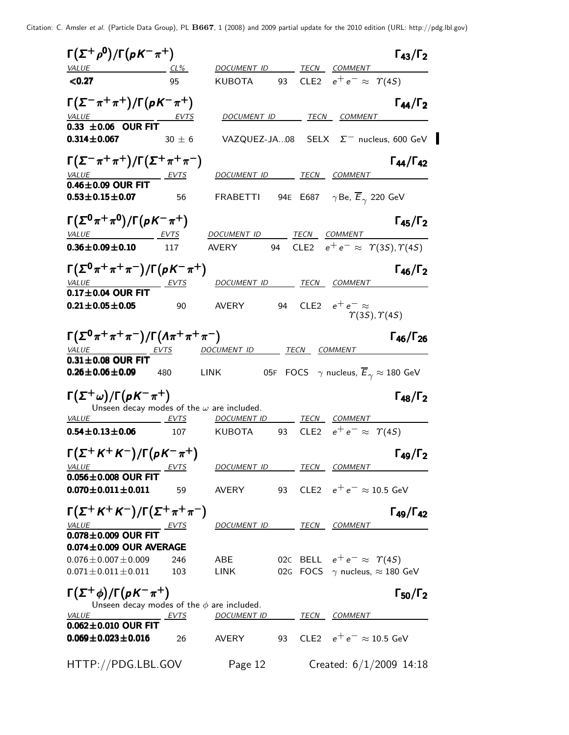| $\Gamma(\Sigma^+\rho^0)/\Gamma(\rho K^-\pi^+)$                                         |             |                                               |    |                  |                                                                    | $\Gamma_{43}/\Gamma_2$    |
|----------------------------------------------------------------------------------------|-------------|-----------------------------------------------|----|------------------|--------------------------------------------------------------------|---------------------------|
| <b>VALUE</b>                                                                           | CL%         | DOCUMENT ID                                   |    | TECN             | <b>COMMENT</b>                                                     |                           |
| < 0.27                                                                                 | 95          | <b>KUBOTA</b>                                 | 93 |                  | CLE2 $e^+e^- \approx \Upsilon(45)$                                 |                           |
| $\Gamma(\Sigma^-\pi^+\pi^+)/\Gamma(\rho K^-\pi^+)$<br><i><b>VALUE</b></i>              |             | DOCUMENT ID                                   |    |                  | <i>TECN COMMENT</i>                                                | $\Gamma_{44}/\Gamma_2$    |
| 0.33 $\pm$ 0.06 OUR FIT                                                                |             |                                               |    |                  |                                                                    |                           |
| $0.314 \pm 0.067$                                                                      | $30 \pm 6$  | VAZQUEZ-JA08 SELX $\Sigma^-$ nucleus, 600 GeV |    |                  |                                                                    |                           |
| $\Gamma(\Sigma^{-}\pi^{+}\pi^{+})/\Gamma(\Sigma^{+}\pi^{+}\pi^{-})$<br><i>VALUE</i>    | EVTS        | DOCUMENT ID TECN COMMENT                      |    |                  |                                                                    | $\Gamma_{44}/\Gamma_{42}$ |
| $0.46\pm0.09$ OUR FIT<br>$0.53 \pm 0.15 \pm 0.07$                                      | 56          | <b>FRABETTI</b>                               |    |                  | 94E E687 $\gamma$ Be, $\overline{E}_{\gamma}$ 220 GeV              |                           |
| $\Gamma(\Sigma^0 \pi^+ \pi^0)/\Gamma(pK^-\pi^+)$<br>VALUE EVTS                         |             | DOCUMENT ID                                   |    |                  | TECN COMMENT                                                       | $\Gamma_{45}/\Gamma_2$    |
| $0.36 \pm 0.09 \pm 0.10$                                                               | 117         | <b>AVERY</b>                                  | 94 |                  | CLE2 $e^+e^- \approx \Upsilon(35), \Upsilon(45)$                   |                           |
| $\Gamma(\Sigma^{0}\pi^{+}\pi^{+}\pi^{-})/\Gamma(pK^{-}\pi^{+})$<br>VALUE               |             | DOCUMENT ID                                   |    |                  | TECN COMMENT                                                       | $\Gamma_{46}/\Gamma_2$    |
| $0.17 \pm 0.04$ OUR FIT<br>$0.21 \pm 0.05 \pm 0.05$                                    | 90          | <b>AVERY</b>                                  | 94 |                  | CLE2 $e^+e^- \approx$<br>$\Upsilon(35), \Upsilon(45)$              |                           |
| $\Gamma(\Sigma^0 \pi^+ \pi^+ \pi^-)/\Gamma(\Lambda \pi^+ \pi^+ \pi^-)$<br><i>VALUE</i> | EVIS        | DOCUMENT ID                                   |    | TECN COMMENT     |                                                                    | $\Gamma_{46}/\Gamma_{26}$ |
| $0.31 \pm 0.08$ OUR FIT<br>$0.26 \pm 0.06 \pm 0.09$                                    | 480         | LINK                                          |    |                  | 05F FOCS $\gamma$ nucleus, $\overline{E}_{\gamma} \approx 180$ GeV |                           |
| $\Gamma(\Sigma^+\omega)/\Gamma(pK^-\pi^+)$                                             |             |                                               |    |                  |                                                                    | $\Gamma_{48}/\Gamma_2$    |
| Unseen decay modes of the $\omega$ are included.<br>VALUE                              | EVTS        | <b>DOCUMENT ID</b>                            |    |                  | TECN COMMENT                                                       |                           |
| $0.54 \pm 0.13 \pm 0.06$                                                               | 107         | KUBOTA                                        | 93 | CLE <sub>2</sub> | $e^+e^- \approx \Upsilon(4S)$                                      |                           |
| $\Gamma(\Sigma^+ K^+ K^-)/\Gamma(\rho K^- \pi^+)$                                      |             |                                               |    |                  |                                                                    | $\Gamma_{49}/\Gamma_2$    |
| VALUE EVTS<br>$0.056 \pm 0.008$ OUR FIT                                                |             | DOCUMENT ID TECN COMMENT                      |    |                  |                                                                    |                           |
| $0.070 \pm 0.011 \pm 0.011$                                                            | 59          | AVERY 93 CLE2 $e^+e^- \approx 10.5$ GeV       |    |                  |                                                                    |                           |
| $\Gamma(\Sigma^+ K^+ K^-)/\Gamma(\Sigma^+ \pi^+ \pi^-)$                                |             |                                               |    |                  |                                                                    | $\Gamma_{49}/\Gamma_{42}$ |
| $\frac{VALUE}{0.078 \pm 0.009}$ OUR FIT                                                |             | DOCUMENT ID TECN COMMENT                      |    |                  |                                                                    |                           |
| $0.074 \pm 0.009$ OUR AVERAGE                                                          |             |                                               |    |                  |                                                                    |                           |
| $0.076 \pm 0.007 \pm 0.009$                                                            | 246         | ABE                                           |    |                  | 02C BELL $e^+e^- \approx \Upsilon(4S)$                             |                           |
| $0.071 \pm 0.011 \pm 0.011$                                                            | 103         | LINK                                          |    |                  | 02G FOCS $\gamma$ nucleus, $\approx$ 180 GeV                       |                           |
| $\Gamma(\Sigma^+\phi)/\Gamma(pK^-\pi^+)$                                               |             |                                               |    |                  |                                                                    | $\Gamma_{50}/\Gamma_2$    |
| Unseen decay modes of the $\phi$ are included.<br><b>VALUE</b>                         | <u>EVTS</u> | DOCUMENT ID TECN COMMENT                      |    |                  |                                                                    |                           |
| $0.062 \pm 0.010$ OUR FIT<br>$0.069 \pm 0.023 \pm 0.016$                               | 26          | AVERY                                         | 93 |                  | CLE2 $e^+e^- \approx 10.5$ GeV                                     |                           |
| HTTP://PDG.LBL.GOV                                                                     |             | Page 12                                       |    |                  |                                                                    | Created: $6/1/2009$ 14:18 |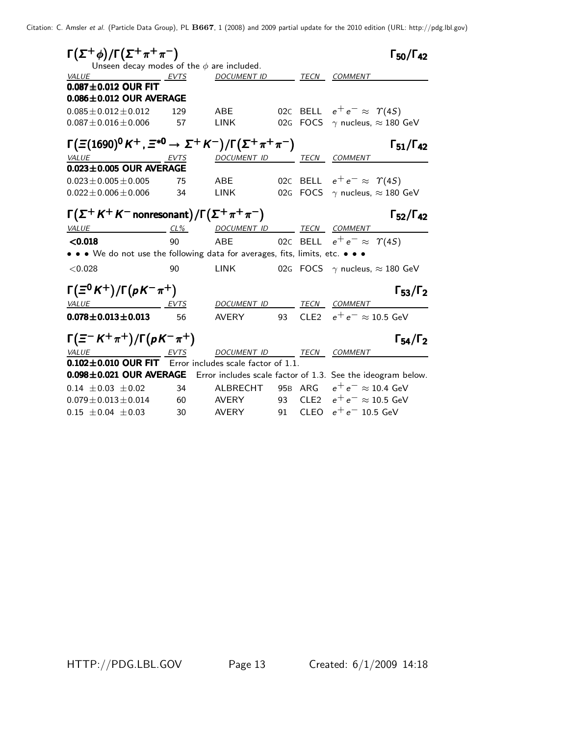| $\Gamma(\Sigma^+\phi)/\Gamma(\Sigma^+\pi^+\pi^-)$<br>Unseen decay modes of the $\phi$ are included. |      |                                     |    |                  | $\Gamma_{50}/\Gamma_{42}$                                                           |
|-----------------------------------------------------------------------------------------------------|------|-------------------------------------|----|------------------|-------------------------------------------------------------------------------------|
| VALUE                                                                                               | EVTS | <b>DOCUMENT ID</b>                  |    | TECN             | COMMENT                                                                             |
| $0.087 \pm 0.012$ OUR FIT                                                                           |      |                                     |    |                  |                                                                                     |
| $0.086 \pm 0.012$ OUR AVERAGE                                                                       |      |                                     |    |                  |                                                                                     |
| $0.085 \pm 0.012 \pm 0.012$                                                                         | 129  | ABE                                 |    |                  | 02C BELL $e^+e^- \approx \Upsilon(4S)$                                              |
| $0.087 \pm 0.016 \pm 0.006$                                                                         | 57   | <b>LINK</b>                         |    | 02G FOCS         | $\gamma$ nucleus, $\approx 180$ GeV                                                 |
| $\Gamma(\Xi(1690)^0 K^+, \Xi^{*0} \to \Sigma^+ K^-)/\Gamma(\Sigma^+ \pi^+ \pi^-)$                   |      |                                     |    |                  | $\Gamma_{51}/\Gamma_{42}$                                                           |
| VALUE                                                                                               | EVTS | DOCUMENT ID                         |    |                  | TECN COMMENT                                                                        |
| $0.023 \pm 0.005$ OUR AVERAGE                                                                       |      |                                     |    |                  |                                                                                     |
| $0.023 \pm 0.005 \pm 0.005$                                                                         | 75   | <b>ABE</b>                          |    |                  | 02C BELL $e^+e^- \approx \Upsilon(4S)$                                              |
| $0.022 \pm 0.006 \pm 0.006$                                                                         | 34   | <b>LINK</b>                         |    |                  | 02G FOCS $\gamma$ nucleus, $\approx$ 180 GeV                                        |
| $\Gamma(\Sigma^+ K^+ K^-$ nonresonant)/ $\Gamma(\Sigma^+ \pi^+ \pi^-)$                              |      |                                     |    |                  | $\Gamma_{52}/\Gamma_{42}$                                                           |
| VALUE                                                                                               |      | <u>CL% DOCUMENT ID TECN COMMENT</u> |    |                  |                                                                                     |
| < 0.018                                                                                             | 90   | ABE                                 |    |                  | 02C BELL $e^+e^- \approx \Upsilon(45)$                                              |
| • • • We do not use the following data for averages, fits, limits, etc. • • •                       |      |                                     |    |                  |                                                                                     |
| < 0.028                                                                                             | 90   | <b>LINK</b>                         |    |                  | 02G FOCS $\gamma$ nucleus, $\approx$ 180 GeV                                        |
| $\Gamma(\Xi^0 K^+)/\Gamma(pK^-\pi^+)$                                                               |      |                                     |    |                  | $\Gamma_{53}/\Gamma_2$                                                              |
| <u>EVTS</u><br>VALUE                                                                                |      | DOCUMENT ID                         |    |                  | TECN COMMENT                                                                        |
| $0.078\!\pm\!0.013\!\pm\!0.013$                                                                     | 56   | AVERY                               | 93 | CLE <sub>2</sub> | $e^+e^- \approx 10.5$ GeV                                                           |
| $\Gamma(\equiv^- K^+ \pi^+)/\Gamma(p K^- \pi^+)$                                                    |      |                                     |    |                  | $\Gamma_{54}/\Gamma_2$                                                              |
| <i>VALUE</i><br>EVTS                                                                                |      | DOCUMENT ID TECN COMMENT            |    |                  |                                                                                     |
| $0.102 \pm 0.010$ OUR FIT                                                                           |      | Error includes scale factor of 1.1. |    |                  |                                                                                     |
|                                                                                                     |      |                                     |    |                  | 0.098±0.021 OUR AVERAGE Error includes scale factor of 1.3. See the ideogram below. |
| $0.14 \pm 0.03 \pm 0.02$                                                                            | 34   | ALBRECHT                            |    | 95B ARG          | $e^+e^- \approx 10.4 \text{ GeV}$                                                   |
| $0.079 \pm 0.013 \pm 0.014$ 60                                                                      |      | AVERY                               |    |                  | 93 CLE2 $e^+e^- \approx 10.5$ GeV                                                   |
| $0.15 \pm 0.04 \pm 0.03$                                                                            | 30   | AVERY                               | 91 | <b>CLEO</b>      | $e^+e^-$ 10.5 GeV                                                                   |

HTTP://PDG.LBL.GOV Page 13 Created: 6/1/2009 14:18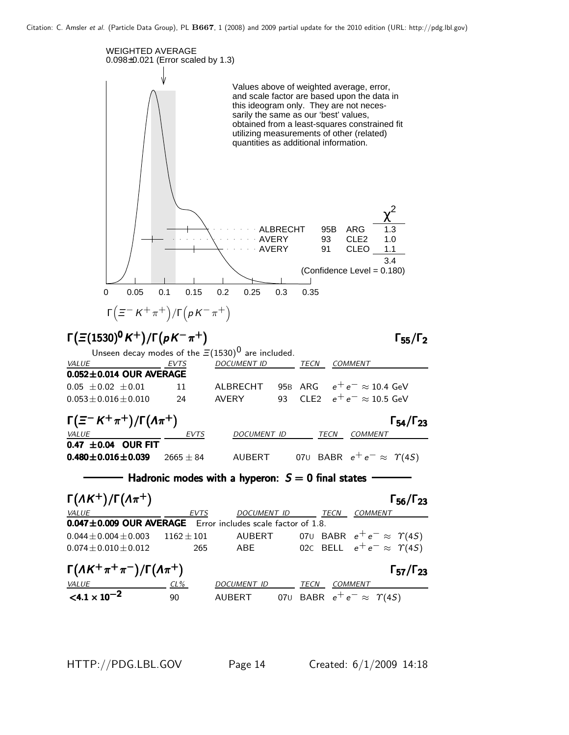

HTTP://PDG.LBL.GOV Page 14 Created: 6/1/2009 14:18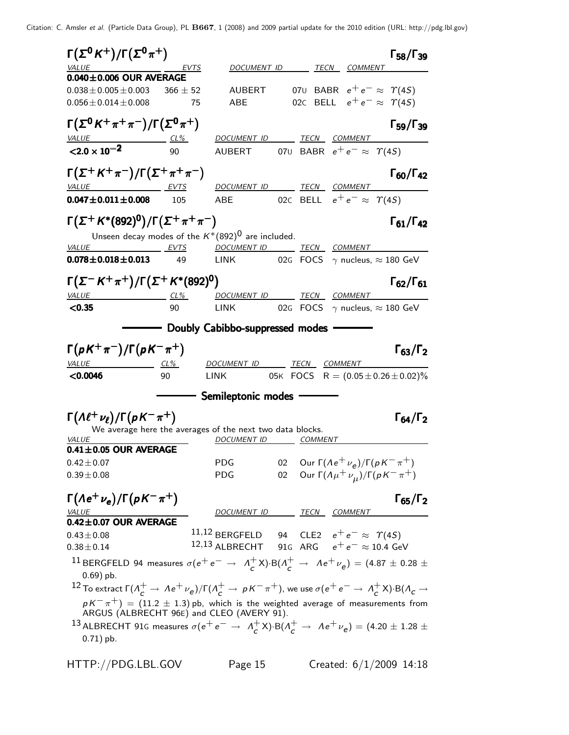Γ $(\Sigma^0 K^+) / \Gamma(\Sigma^0 \pi^+)$  Γ<sub>58</sub>/Γ<sub>39</sub> DOCUMENT ID TECN COMMENT 0.040±0.006 OUR AVERAGE  $0.038 \pm 0.005 \pm 0.003$   $366 \pm 52$  AUBERT 07U BABR  $e^+e^- \approx \Upsilon(45)$  $0.056 \pm 0.014 \pm 0.008$  75 ABE 02C BELL  $e^+e^- \approx \Upsilon(4S)$  $\Gamma(\Sigma^0\, K^+\, \pi^+\, \pi^-)/\Gamma(\Sigma^0\, \pi^+)$  Γ59/Γ39 ¢Γ59/Γ VALUE CL<sup>%</sup> DOCUMENT ID TECN COMMENT  ${<}2.0\times10^{-2}$ AUBERT 07U BABR  $e^+ e^- \approx \Upsilon(4S)$  $\Gamma(\Sigma^+ K^+ \pi^-)/\Gamma(\Sigma^+ \pi^+ \pi^-)$  Γ<sub>60</sub>/Γ<sub>42</sub> Γ<sub>60</sub>/Γ<sub>42</sub> VALUE EVTS DOCUMENT ID TECN COMMENT **0.047±0.011±0.008** 105 ABE 02C BELL  $e^+e^- \approx \Upsilon(4S)$  $\Gamma(\Sigma^+ K^*(892)^0)/\Gamma(\Sigma^+ \pi^+ \pi^-)$  Γ<sub>61</sub>/Γ<sub>42</sub> ¢Γ61/Γ Unseen decay modes of the  $K^*(892)^0$  are included. VALUE EVTS DOCUMENT ID TECN COMMENT **0.078±0.018±0.013** 49 LINK 02G FOCS  $\gamma$  nucleus,  $\approx$  180 GeV Γ $(\Sigma^- K^+ \pi^+) / \Gamma (\Sigma^+ K^* (892)^0)$  Γ<sub>62</sub>/Γ<sub>61</sub> ¢Γ62/Γ VALUE CL<sup>%</sup> DOCUMENT ID TECN COMMENT  $\langle 0.35$  90 LINK 02G FOCS  $\gamma$  nucleus,  $\approx 180$  GeV - Doubly Cabibbo-suppressed modes - $\Gamma(pK^+\pi^-)/\Gamma(pK^-\pi^+)$   $\Gamma_{63}/\Gamma_2$  $^{+})$  Γ<sub>63</sub>/Γ VALUE CL% DOCUMENT ID TECN COMMENT  $\textbf{<}0.0046$  90 LINK 05K FOCS R =  $(0.05 \pm 0.26 \pm 0.02)\%$ - Semileptonic modes - $\Gamma(\Lambda \ell^+ \nu_\ell)/\Gamma(\rho K^- \pi^+)$   $\Gamma_{64}/\Gamma_2$ ¢Γ64/ΓWe average here the averages of the next two data blocks. VALUE COMMENT DOCUMENT ID COMMENT 0.41±0.05 OUR AVERAGE 0.42±0.07 PDG 02 Our Γ $(Ae^+ \nu_e)/Γ(pK^- π^+)$ 0.39±0.08 PDG 02 Our Γ $(Aμ<sup>+</sup>ν<sub>μ</sub>)/Γ(pK<sup>-</sup>π<sup>+</sup>)$  $\Gamma(\Lambda e^+ \nu_e)/\Gamma(\rho K^-\pi^+)$  Γ<sub>65</sub>/Γ<sub>2</sub> VALUE **A COMMENT ID** TECN COMMENT 0.42±0.07 OUR AVERAGE 0.43±0.08  $11,12$  BERGFELD 94 CLE2  $e^+e^-$  ≈  $\Upsilon(4S)$ <br>0.38+0.14  $12,13$  ALBRECHT 91G ARG  $e^+e^-$  ≈ 10.4 Ge  $0.38 \pm 0.14$  12,13 ALBRECHT 91G ARG  $e^+ e^- \approx 10.4$  GeV <sup>11</sup> BERGFELD 94 measures  $\sigma(e^+e^- \rightarrow A_c^+e^-)$  $\frac{1}{c}$  X)⋅B(Λ $\frac{1}{c}$  → Λe<sup>+</sup>ν<sub>e</sub>) = (4.87 ± 0.28 ± 0.69) pb.  $^{12}$  To extract Γ( $\Lambda_c^+\to$   $\Lambda$ e $^+\nu_e$ )/Γ( $\Lambda_c^+\to$   $\mu$ K $^ \pi^+$ ), we use  $\sigma$ (e $^+$  e $^ \to$   $\Lambda_c^+$  $_{c}^{+}$ X)·B( $\Lambda_{c}$   $\rightarrow$  $p$   $\kappa^-\pi^+)$   $=$   $(11.2\,\pm\,1.3)$  pb, which is the weighted average of measurements from ARGUS (ALBRECHT 96E) and CLEO (AVERY 91). 13 ALBRECHT 91G measures  $\sigma(e^+e^- \rightarrow A_c^+)$  $c^+$ X)·B( $\Lambda_c^+$   $\to$   $\Lambda e^+$  $\nu_e$ ) = (4.20  $\pm$  1.28  $\pm$ 0.71) pb. HTTP://PDG.LBL.GOV Page 15 Created: 6/1/2009 14:18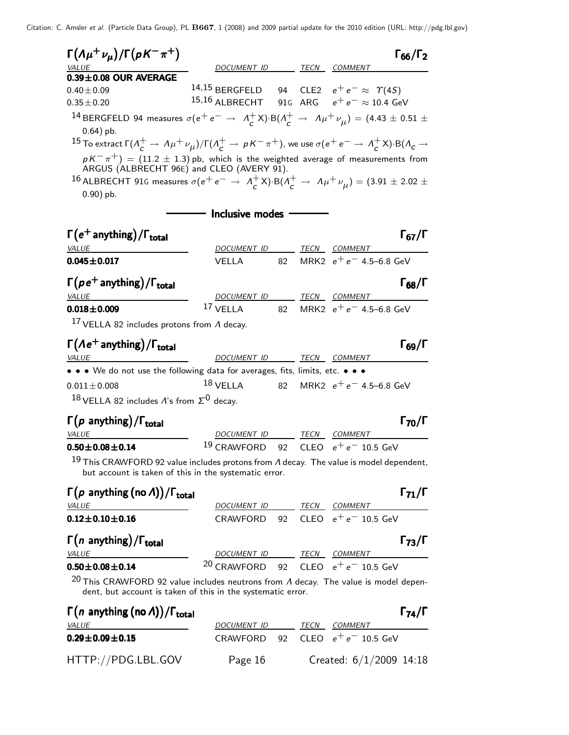| $\Gamma(\Lambda \mu^+ \nu_\mu)/\Gamma(\rho K^- \pi^+)$                                                                                                                                |                                                      |    |                                    | $\Gamma_{66}/\Gamma_2$ |
|---------------------------------------------------------------------------------------------------------------------------------------------------------------------------------------|------------------------------------------------------|----|------------------------------------|------------------------|
| VALUE<br>$0.39 \pm 0.08$ OUR AVERAGE                                                                                                                                                  | DOCUMENT ID TECN COMMENT                             |    |                                    |                        |
| $0.40 \pm 0.09$                                                                                                                                                                       | 14,15 BERGFELD 94 CLE2 $e^+e^- \approx \Upsilon(4S)$ |    |                                    |                        |
| $0.35 \pm 0.20$                                                                                                                                                                       | 15,16 ALBRECHT 91G ARG $e^+e^- \approx 10.4$ GeV     |    |                                    |                        |
| <sup>14</sup> BERGFELD 94 measures $\sigma(e^+e^-\rightarrow A_c^+X)\cdot B(A_c^+\rightarrow A\mu^+\nu_\mu)=(4.43\pm0.51\pm0.51)$<br>$0.64$ ) pb.                                     |                                                      |    |                                    |                        |
| $^{15}$ To extract $\Gamma(\Lambda_c^+\to\Lambda\mu^+\nu_{\mu})/\Gamma(\Lambda_c^+\to\mu K^-\pi^+)$ , we use $\sigma(e^+e^-\to\Lambda_c^+X)\cdot {\rm B}(\Lambda_c\to\Lambda_c^+X)$   |                                                      |    |                                    |                        |
| $pK^-\pi^+) = (11.2 \pm 1.3)$ pb, which is the weighted average of measurements from                                                                                                  |                                                      |    |                                    |                        |
| ARGUS (ALBRECHT 96E) and CLEO (AVERY 91).<br>16 ALBRECHT 91G measures $\sigma(e^+e^- \rightarrow A_c^+X)$ ·B $(A_c^+ \rightarrow A_\mu^+\nu_\mu)=(3.91\pm 2.02\pm 1)$<br>$0.90$ ) pb. |                                                      |    |                                    |                        |
|                                                                                                                                                                                       | — Inclusive modes                                    |    |                                    |                        |
| $\Gamma(e^+$ anything) / $\Gamma_{total}$                                                                                                                                             |                                                      |    |                                    | $\Gamma_{67}/\Gamma$   |
| VALUE                                                                                                                                                                                 | DOCUMENT ID TECN COMMENT                             |    |                                    |                        |
| $0.045 \pm 0.017$                                                                                                                                                                     | <b>VELLA</b>                                         | 82 | MRK2 $e^+e^-$ 4.5–6.8 GeV          |                        |
| $\Gamma(p e^+$ anything) / $\Gamma_{\text{total}}$                                                                                                                                    |                                                      |    |                                    | $\Gamma_{68}/\Gamma$   |
| VALUE                                                                                                                                                                                 | DOCUMENT ID                                          |    | TECN COMMENT                       |                        |
| $0.018 \pm 0.009$                                                                                                                                                                     | <sup>17</sup> VELLA 82 MRK2 $e^+e^-$ 4.5–6.8 GeV     |    |                                    |                        |
| $17$ VELLA 82 includes protons from $\Lambda$ decay.                                                                                                                                  |                                                      |    |                                    |                        |
| $\Gamma(\Lambda e^+$ anything) / $\Gamma_{total}$                                                                                                                                     |                                                      |    |                                    | $\Gamma_{69}/\Gamma$   |
| <i>VALUE</i>                                                                                                                                                                          | DOCUMENT ID TECN COMMENT                             |    |                                    |                        |
| • • • We do not use the following data for averages, fits, limits, etc. • • •                                                                                                         |                                                      |    |                                    |                        |
| $0.011 \pm 0.008$                                                                                                                                                                     | $^{18}$ VELLA 82 MRK2 $e^+e^-$ 4.5–6.8 GeV           |    |                                    |                        |
| $18$ VELLA 82 includes A's from $\Sigma^0$ decay.                                                                                                                                     |                                                      |    |                                    |                        |
|                                                                                                                                                                                       |                                                      |    |                                    | $\Gamma_{70}/\Gamma$   |
| $\Gamma(p \text{ anything})/\Gamma_{\text{total}}$<br><i>VALUE</i>                                                                                                                    | DOCUMENT ID TECN COMMENT                             |    |                                    |                        |
| $0.50 \pm 0.08 \pm 0.14$                                                                                                                                                              | $^{19}$ CRAWFORD                                     |    | 92 CLEO $e^+e^-$ 10.5 GeV          |                        |
| <sup>19</sup> This CRAWFORD 92 value includes protons from $\Lambda$ decay. The value is model dependent,                                                                             |                                                      |    |                                    |                        |
| but account is taken of this in the systematic error.                                                                                                                                 |                                                      |    |                                    |                        |
| $\Gamma(p \text{ anything (no } \Lambda)) / \Gamma_{\text{total}}$                                                                                                                    |                                                      |    |                                    | $\Gamma_{71}/\Gamma$   |
| <b>VALUE</b>                                                                                                                                                                          |                                                      |    | DOCUMENT ID TECN COMMENT           |                        |
| $0.12 \pm 0.10 \pm 0.16$                                                                                                                                                              |                                                      |    | CRAWFORD 92 CLEO $e^+e^-$ 10.5 GeV |                        |
| $\Gamma(n \text{ anything})/\Gamma_{\text{total}}$                                                                                                                                    |                                                      |    |                                    | $\Gamma_{73}/\Gamma$   |
| <i>VALUE</i>                                                                                                                                                                          | DOCUMENT ID TECN COMMENT                             |    |                                    |                        |
| $0.50 \pm 0.08 \pm 0.14$                                                                                                                                                              | <sup>20</sup> CRAWFORD 92 CLEO $e^+e^-$ 10.5 GeV     |    |                                    |                        |
| <sup>20</sup> This CRAWFORD 92 value includes neutrons from $\Lambda$ decay. The value is model depen-<br>dent, but account is taken of this in the systematic error.                 |                                                      |    |                                    |                        |
| $\Gamma(n)$ anything (no A))/ $\Gamma_{total}$                                                                                                                                        |                                                      |    |                                    | $\Gamma_{74}/\Gamma$   |
|                                                                                                                                                                                       |                                                      |    |                                    |                        |

0.29±0.09±0.15 CRAWFORD 92 CLEO  $e^+e^-$  10.5 GeV HTTP://PDG.LBL.GOV Page 16 Created: 6/1/2009 14:18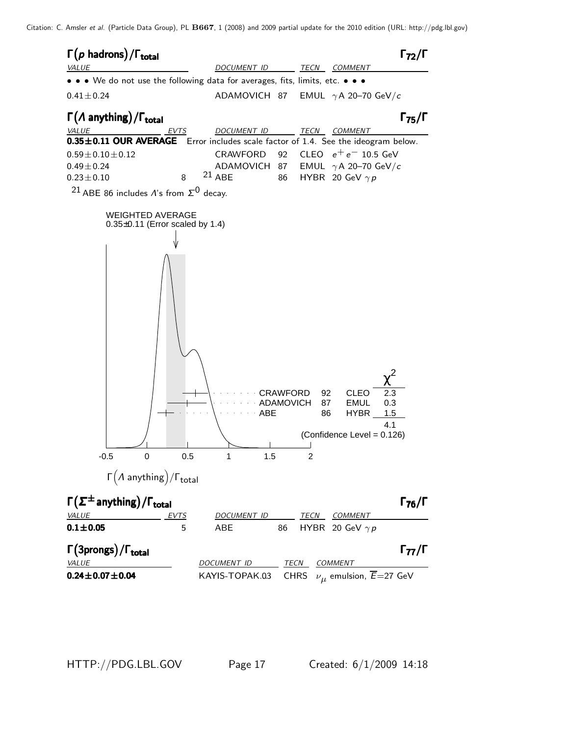

HTTP://PDG.LBL.GOV Page 17 Created: 6/1/2009 14:18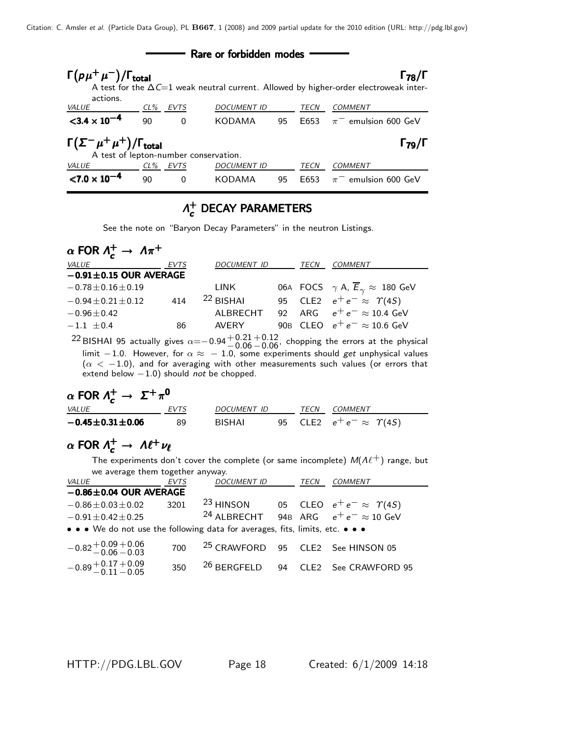| Rare or forbidden modes                                                                                          |    |          |                    |    |      |                                                                                                                      |  |  |
|------------------------------------------------------------------------------------------------------------------|----|----------|--------------------|----|------|----------------------------------------------------------------------------------------------------------------------|--|--|
| $\Gamma(p\mu^+\mu^-)/\Gamma_{\rm total}$<br>actions.                                                             |    |          |                    |    |      | $\Gamma_{78}/\Gamma$<br>A test for the $\Delta C=1$ weak neutral current. Allowed by higher-order electroweak inter- |  |  |
| <b>VALUE</b>                                                                                                     |    | CL% EVTS | <b>DOCUMENT ID</b> |    | TECN | COMMENT                                                                                                              |  |  |
| $<$ 3.4 $\times$ 10 <sup>-4</sup>                                                                                | 90 | $\Omega$ | KODAMA             | 95 | F653 | $\pi$ <sup>-</sup> emulsion 600 GeV                                                                                  |  |  |
| $\Gamma(\Sigma^-\mu^+\mu^+)/\Gamma_{\rm total}$<br>$\Gamma_{79}/\Gamma$<br>A test of lepton-number conservation. |    |          |                    |    |      |                                                                                                                      |  |  |
| <i>VALUE</i>                                                                                                     |    | CL% EVTS | <b>DOCUMENT ID</b> |    | TECN | <b>COMMENT</b>                                                                                                       |  |  |
| $< 7.0 \times 10^{-4}$                                                                                           | 90 | 0        | <b>KODAMA</b>      | 95 | F653 | $\pi^-$ emulsion 600 GeV                                                                                             |  |  |

### $Λ_{c}^{+}$  $\Lambda_c^+$  DECAY PARAMETERS

See the note on "Baryon Decay Parameters" in the neutron Listings.

| $\alpha$ FOR $\Lambda_c^+ \rightarrow \Lambda \pi^+$ |      |                    |             |                                                              |
|------------------------------------------------------|------|--------------------|-------------|--------------------------------------------------------------|
| <i>VALUE</i>                                         | EVTS | <b>DOCUMENT ID</b> | <b>TECN</b> | <b>COMMENT</b>                                               |
| $-0.91 \pm 0.15$ OUR AVERAGE                         |      |                    |             |                                                              |
| $-0.78 \pm 0.16 \pm 0.19$                            |      | LINK               |             | 06A FOCS $\gamma$ A, $\overline{E}_{\gamma} \approx 180$ GeV |
| $-0.94 \pm 0.21 \pm 0.12$                            | 414  | $22$ BISHAI        |             | 95 CLE2 $e^+e^- \approx \Upsilon(4S)$                        |
| $-0.96 \pm 0.42$                                     |      | ALBRECHT           |             | 92 ARG $e^+e^- \approx 10.4$ GeV                             |
| $-1.1 + 0.4$                                         | 86   | AVFRY              |             | 90B CLEO $e^+e^- \approx 10.6$ GeV                           |

<sup>22</sup> BISHAI 95 actually gives  $\alpha$ =−0.94  $+$ 0.21<br>−0.06  $+0.12$ , chopping the errors at the physical limit  $-1.0$ . However, for  $\alpha \approx \ -1.0$ , some experiments should  $get$  unphysical values  $(\alpha < -1.0)$ , and for averaging with other measurements such values (or errors that extend below  $-1.0$ ) should *not* be chopped.

$$
\alpha \text{ FOR } \Lambda_c^+ \to \Sigma^+ \pi^0
$$
\nVALUE\n
$$
-0.45 \pm 0.31 \pm 0.06
$$
\n
$$
89
$$
\n
$$
89
$$
\n
$$
95
$$
\n
$$
CLE2
$$
\n
$$
e^+ e^- \approx \Upsilon(45)
$$

# $\alpha$  FOR  $\Lambda_c^+ \to \Lambda \ell^+ \nu_\ell$

The experiments don't cover the complete (or same incomplete)  $M(A\ell^+)$  range, but we average them together anyway.

| <i>VALUE</i>                                                                  | <b>EVTS</b> | <b>DOCUMENT ID</b>                           |  | <b>TECN</b> | <b>COMMENT</b>                                             |  |  |  |  |
|-------------------------------------------------------------------------------|-------------|----------------------------------------------|--|-------------|------------------------------------------------------------|--|--|--|--|
| $-0.86 \pm 0.04$ OUR AVERAGE                                                  |             |                                              |  |             |                                                            |  |  |  |  |
| $-0.86 \pm 0.03 \pm 0.02$                                                     | 3201        |                                              |  |             | <sup>23</sup> HINSON 05 CLEO $e^+e^- \approx \Upsilon(45)$ |  |  |  |  |
| $-0.91 \pm 0.42 \pm 0.25$                                                     |             |                                              |  |             | <sup>24</sup> ALBRECHT 94B ARG $e^+e^- \approx 10$ GeV     |  |  |  |  |
| • • • We do not use the following data for averages, fits, limits, etc. • • • |             |                                              |  |             |                                                            |  |  |  |  |
| $-0.82\substack{+0.09\, +0.06\ -0.03}$                                        | 700         | <sup>25</sup> CRAWFORD 95 CLE2 See HINSON 05 |  |             |                                                            |  |  |  |  |
| $-0.89 + 0.17 + 0.09$<br>$-0.11 - 0.05$                                       | 350         |                                              |  |             | <sup>26</sup> BERGFELD 94 CLE2 See CRAWFORD 95             |  |  |  |  |

HTTP://PDG.LBL.GOV Page 18 Created: 6/1/2009 14:18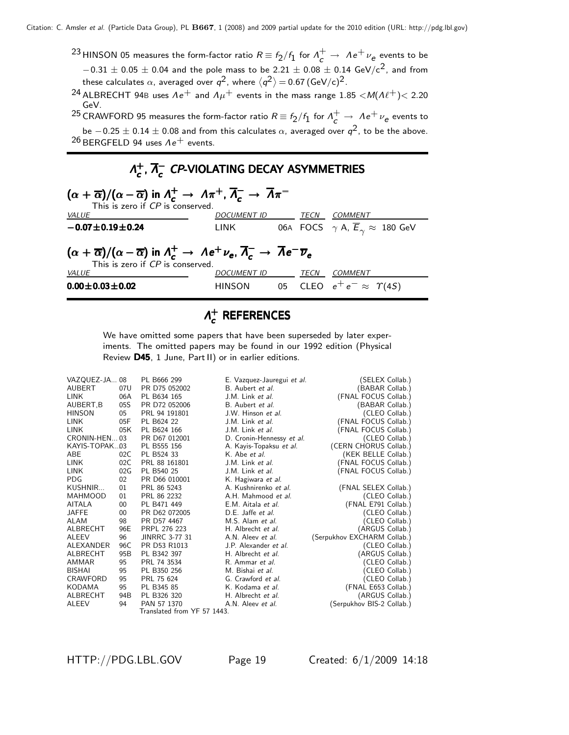- $^{23}$ HINSON 05 measures the form-factor ratio  $R \equiv f_2/f_1$  for  $\Lambda_c^+ \to \; \Lambda e^+ \nu_e$  events to be  $-0.31 \pm 0.05 \pm 0.04$  and the pole mass to be 2.21  $\pm$  0.08  $\pm$  0.14 GeV/c<sup>2</sup>, and from these calculates  $\alpha$ , averaged over  $q^2$ , where  $\langle q^2 \rangle \!=\! 0.67\, {\rm (GeV/c)^2}.$
- <sup>24</sup> ALBRECHT 94B uses  $\Lambda e^+$  and  $\Lambda \mu^+$  events in the mass range 1.85 < M( $\Lambda \ell^+$ ) < 2.20 GeV.

 $^{25}$  CRAWFORD 95 measures the form-factor ratio  $R \equiv f_2/f_1$  for  $\Lambda_c^+ \to \Lambda e^+ \nu_e$  events to be  $-0.25\pm0.14\pm0.08$  and from this calculates  $\alpha$ , averaged over  $q^2$ , to be the above.  $26$  BERGFELD 94 uses  $Ae^+$  events.

#### $Λ_{c}^{+}$  $_{c}^{+}$ ,  $\overline{\Lambda}_{c}^{-}$  $\Lambda_c^+$ ,  $\overline{\Lambda}_c^-$  CP-VIOLATING DECAY ASYMMETRIES

| $(\alpha + \overline{\alpha})/(\alpha - \overline{\alpha})$ in $\Lambda_c^+ \to \Lambda \pi^+$ , $\overline{\Lambda}_c^- \to \overline{\Lambda} \pi^-$<br>This is zero if CP is conserved.                 |                    |  |      |                                                              |  |  |  |  |
|------------------------------------------------------------------------------------------------------------------------------------------------------------------------------------------------------------|--------------------|--|------|--------------------------------------------------------------|--|--|--|--|
| <i>VALUE</i>                                                                                                                                                                                               | <i>DOCUMENT ID</i> |  | TECN | <i>COMMENT</i>                                               |  |  |  |  |
| $-0.07 \pm 0.19 \pm 0.24$                                                                                                                                                                                  | LINK               |  |      | 06A FOCS $\gamma$ A, $\overline{E}_{\gamma} \approx 180$ GeV |  |  |  |  |
| $(\alpha + \overline{\alpha})/(\alpha - \overline{\alpha})$ in $\Lambda_c^+ \to \Lambda e^+ \nu_e$ , $\overline{\Lambda_c} \to \overline{\Lambda}e^- \overline{\nu}_e$<br>This is zero if CP is conserved. |                    |  |      |                                                              |  |  |  |  |
| <i>VALUE</i>                                                                                                                                                                                               | <b>DOCUMENT ID</b> |  | TECN | <b>COMMENT</b>                                               |  |  |  |  |
| $0.00 \pm 0.03 \pm 0.02$                                                                                                                                                                                   | HINSON             |  |      | 05 CLEO $e^+e^- \approx \Upsilon(4S)$                        |  |  |  |  |

#### $Λ^+_{c}$  $\vec{c}$  references

We have omitted some papers that have been superseded by later experiments. The omitted papers may be found in our 1992 edition (Physical Review D45, 1 June, Part II) or in earlier editions.

| VAZQUEZ-JA 08    |     | PL B666 299                 | E. Vazquez-Jauregui et al. | (SELEX Collab.)             |                |
|------------------|-----|-----------------------------|----------------------------|-----------------------------|----------------|
| AUBERT           | 07U | PR D75 052002               | B. Aubert et al.           | (BABAR Collab.)             |                |
| <b>LINK</b>      | 06A | PL B634 165                 | J.M. Link et al.           | (FNAL FOCUS Collab.)        |                |
| AUBERT, B        | 05S | PR D72 052006               | B. Aubert et al.           | (BABAR Collab.)             |                |
| <b>HINSON</b>    | 05  | PRL 94 191801               | J.W. Hinson et al.         |                             | (CLEO Collab.) |
| <b>LINK</b>      | 05F | PL B624 22                  | J.M. Link et al.           | (FNAL FOCUS Collab.)        |                |
| <b>LINK</b>      | 05K | PL B624 166                 | J.M. Link et al.           | (FNAL FOCUS Collab.)        |                |
| CRONIN-HEN03     |     | PR D67 012001               | D. Cronin-Hennessy et al.  |                             | (CLEO Collab.) |
| KAYIS-TOPAK03    |     | PL B555 156                 | A. Kayis-Topaksu et al.    | (CERN CHORUS Collab.)       |                |
| ABE              | 02C | PL B524 33                  | K. Abe et al.              | (KEK BELLE Collab.)         |                |
| <b>LINK</b>      | 02C | PRL 88 161801               | J.M. Link et al.           | (FNAL FOCUS Collab.)        |                |
| <b>LINK</b>      | 02G | PL B540 25                  | J.M. Link et al.           | (FNAL FOCUS Collab.)        |                |
| <b>PDG</b>       | 02  | PR D66 010001               | K. Hagiwara et al.         |                             |                |
| KUSHNIR          | 01  | PRL 86 5243                 | A. Kushnirenko et al.      | (FNAL SELEX Collab.)        |                |
| <b>MAHMOOD</b>   | 01  | PRL 86 2232                 | A.H. Mahmood et al.        |                             | (CLEO Collab.) |
| AITALA           | 00  | PL B471 449                 | E.M. Aitala et al.         | (FNAL E791 Collab.)         |                |
| <b>JAFFE</b>     | 00  | PR D62 072005               | D.E. Jaffe et al.          |                             | (CLEO Collab.) |
| <b>ALAM</b>      | 98  | PR D57 4467                 | M.S. Alam et al.           |                             | (CLEO Collab.) |
| ALBRECHT         | 96E | PRPL 276 223                | H. Albrecht et al.         | (ARGUS Collab.)             |                |
| ALEEV            | 96  | <b>JINRRC 3-77 31</b>       | A.N. Aleev et al.          | (Serpukhov EXCHARM Collab.) |                |
| <b>ALEXANDER</b> | 96C | PR D53 R1013                | J.P. Alexander et al.      |                             | (CLEO Collab.) |
| <b>ALBRECHT</b>  | 95B | PL B342 397                 | H. Albrecht et al.         | (ARGUS Collab.)             |                |
| AMMAR            | 95  | PRL 74 3534                 | R. Ammar et al.            |                             | (CLEO Collab.) |
| <b>BISHAI</b>    | 95  | PL B350 256                 | M. Bishai et al.           |                             | CLEO Collab.)  |
| CRAWFORD         | 95  | PRL 75 624                  | G. Crawford et al.         |                             | (CLEO Collab.) |
| KODAMA           | 95  | PL B345 85                  | K. Kodama et al.           | (FNAL E653 Collab.)         |                |
| ALBRECHT         | 94B | PL B326 320                 | H. Albrecht et al.         | (ARGUS Collab.)             |                |
| ALEEV            | 94  | PAN 57 1370                 | A.N. Aleev et al.          | (Serpukhov BIS-2 Collab.)   |                |
|                  |     | Translated from YF 57 1443. |                            |                             |                |
|                  |     |                             |                            |                             |                |

HTTP://PDG.LBL.GOV Page 19 Created: 6/1/2009 14:18